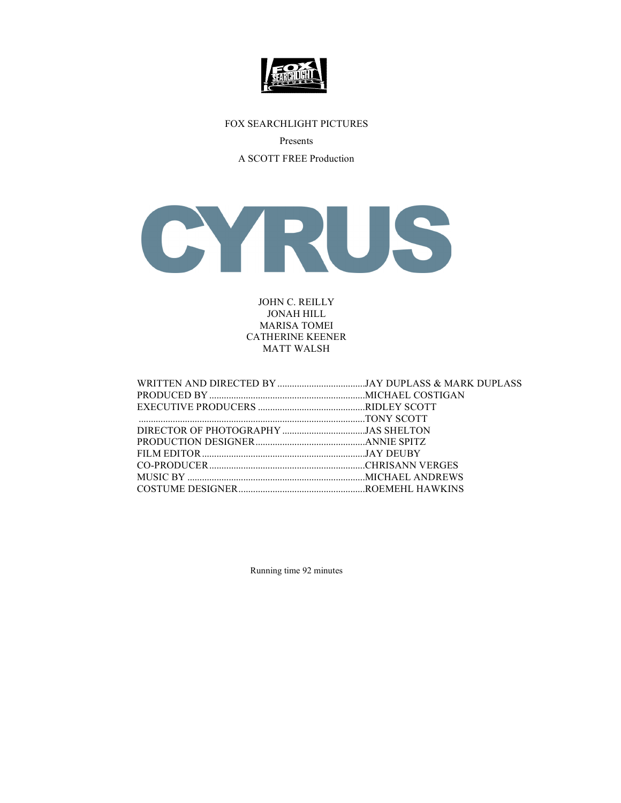

# FOX SEARCHLIGHT PICTURES

Presents

A SCOTT FREE Production



JOHN C. REILLY JONAH HILL MARISA TOMEI CATHERINE KEENER MATT WALSH

| DIRECTOR OF PHOTOGRAPHY JAS SHELTON |  |
|-------------------------------------|--|
|                                     |  |
|                                     |  |
|                                     |  |
|                                     |  |
|                                     |  |
|                                     |  |

Running time 92 minutes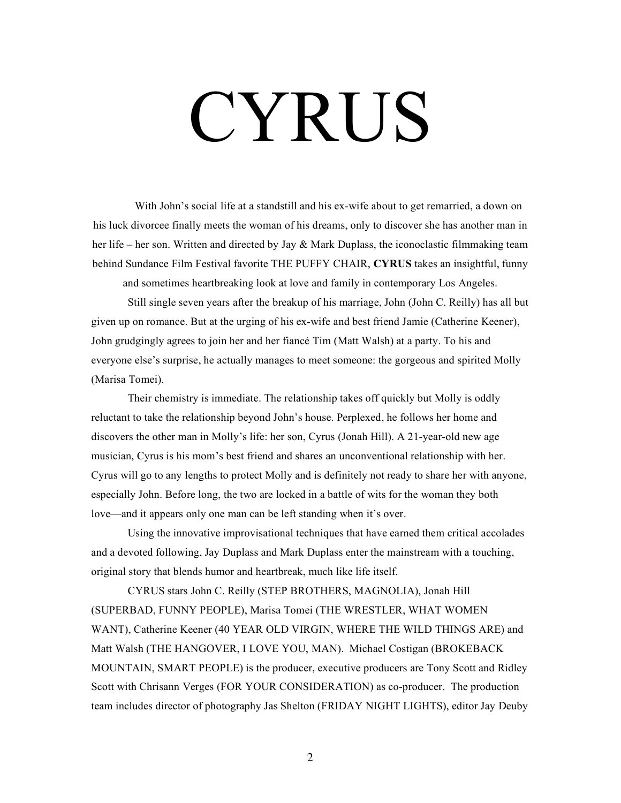# CYRUS

With John's social life at a standstill and his ex-wife about to get remarried, a down on his luck divorcee finally meets the woman of his dreams, only to discover she has another man in her life – her son. Written and directed by Jay & Mark Duplass, the iconoclastic filmmaking team behind Sundance Film Festival favorite THE PUFFY CHAIR, **CYRUS** takes an insightful, funny

and sometimes heartbreaking look at love and family in contemporary Los Angeles.

Still single seven years after the breakup of his marriage, John (John C. Reilly) has all but given up on romance. But at the urging of his ex-wife and best friend Jamie (Catherine Keener), John grudgingly agrees to join her and her fiancé Tim (Matt Walsh) at a party. To his and everyone else's surprise, he actually manages to meet someone: the gorgeous and spirited Molly (Marisa Tomei).

Their chemistry is immediate. The relationship takes off quickly but Molly is oddly reluctant to take the relationship beyond John's house. Perplexed, he follows her home and discovers the other man in Molly's life: her son, Cyrus (Jonah Hill). A 21-year-old new age musician, Cyrus is his mom's best friend and shares an unconventional relationship with her. Cyrus will go to any lengths to protect Molly and is definitely not ready to share her with anyone, especially John. Before long, the two are locked in a battle of wits for the woman they both love—and it appears only one man can be left standing when it's over.

Using the innovative improvisational techniques that have earned them critical accolades and a devoted following, Jay Duplass and Mark Duplass enter the mainstream with a touching, original story that blends humor and heartbreak, much like life itself.

CYRUS stars John C. Reilly (STEP BROTHERS, MAGNOLIA), Jonah Hill (SUPERBAD, FUNNY PEOPLE), Marisa Tomei (THE WRESTLER, WHAT WOMEN WANT), Catherine Keener (40 YEAR OLD VIRGIN, WHERE THE WILD THINGS ARE) and Matt Walsh (THE HANGOVER, I LOVE YOU, MAN). Michael Costigan (BROKEBACK MOUNTAIN, SMART PEOPLE) is the producer, executive producers are Tony Scott and Ridley Scott with Chrisann Verges (FOR YOUR CONSIDERATION) as co-producer. The production team includes director of photography Jas Shelton (FRIDAY NIGHT LIGHTS), editor Jay Deuby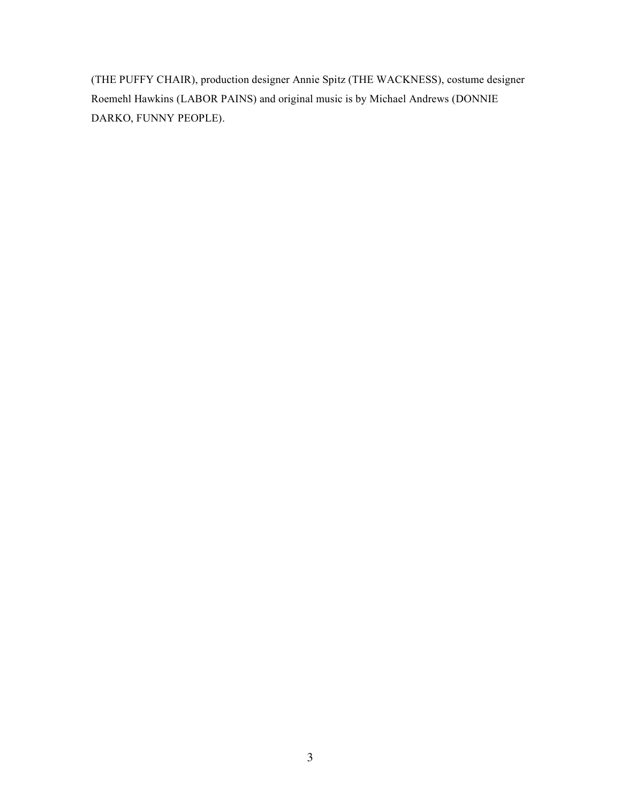(THE PUFFY CHAIR), production designer Annie Spitz (THE WACKNESS), costume designer Roemehl Hawkins (LABOR PAINS) and original music is by Michael Andrews (DONNIE DARKO, FUNNY PEOPLE).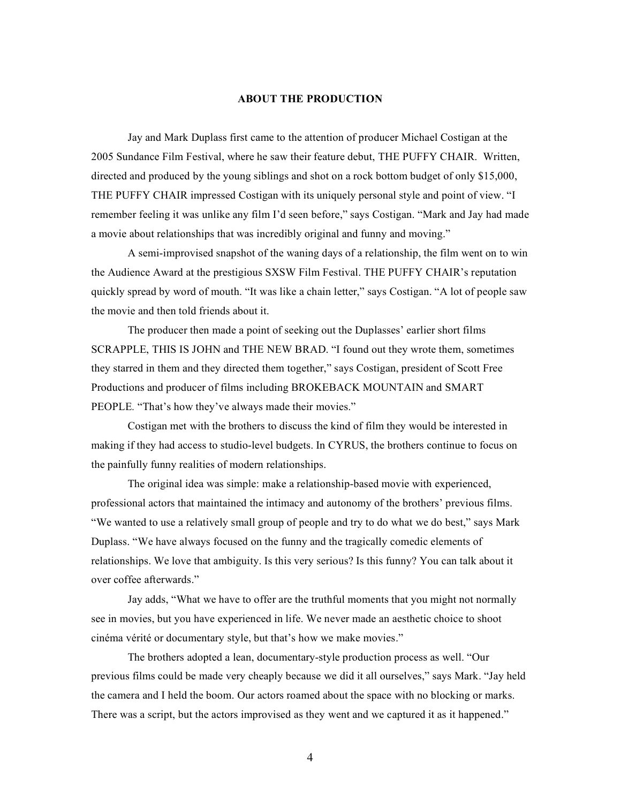### **ABOUT THE PRODUCTION**

Jay and Mark Duplass first came to the attention of producer Michael Costigan at the 2005 Sundance Film Festival, where he saw their feature debut, THE PUFFY CHAIR. Written, directed and produced by the young siblings and shot on a rock bottom budget of only \$15,000, THE PUFFY CHAIR impressed Costigan with its uniquely personal style and point of view. "I remember feeling it was unlike any film I'd seen before," says Costigan. "Mark and Jay had made a movie about relationships that was incredibly original and funny and moving."

A semi-improvised snapshot of the waning days of a relationship, the film went on to win the Audience Award at the prestigious SXSW Film Festival. THE PUFFY CHAIR's reputation quickly spread by word of mouth. "It was like a chain letter," says Costigan. "A lot of people saw the movie and then told friends about it.

The producer then made a point of seeking out the Duplasses' earlier short films SCRAPPLE, THIS IS JOHN and THE NEW BRAD. "I found out they wrote them, sometimes they starred in them and they directed them together," says Costigan, president of Scott Free Productions and producer of films including BROKEBACK MOUNTAIN and SMART PEOPLE. "That's how they've always made their movies."

Costigan met with the brothers to discuss the kind of film they would be interested in making if they had access to studio-level budgets. In CYRUS, the brothers continue to focus on the painfully funny realities of modern relationships.

The original idea was simple: make a relationship-based movie with experienced, professional actors that maintained the intimacy and autonomy of the brothers' previous films. "We wanted to use a relatively small group of people and try to do what we do best," says Mark Duplass. "We have always focused on the funny and the tragically comedic elements of relationships. We love that ambiguity. Is this very serious? Is this funny? You can talk about it over coffee afterwards."

Jay adds, "What we have to offer are the truthful moments that you might not normally see in movies, but you have experienced in life. We never made an aesthetic choice to shoot cinéma vérité or documentary style, but that's how we make movies."

The brothers adopted a lean, documentary-style production process as well. "Our previous films could be made very cheaply because we did it all ourselves," says Mark. "Jay held the camera and I held the boom. Our actors roamed about the space with no blocking or marks. There was a script, but the actors improvised as they went and we captured it as it happened."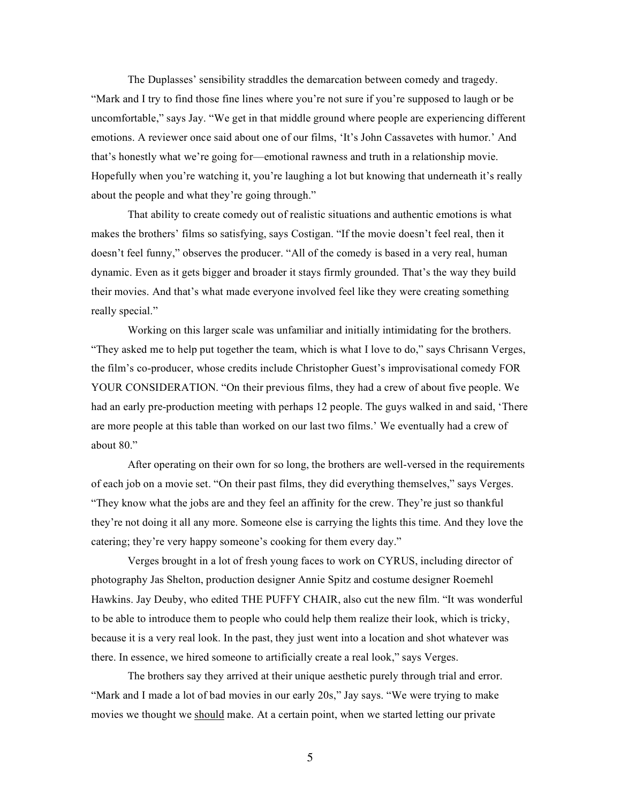The Duplasses' sensibility straddles the demarcation between comedy and tragedy. "Mark and I try to find those fine lines where you're not sure if you're supposed to laugh or be uncomfortable," says Jay. "We get in that middle ground where people are experiencing different emotions. A reviewer once said about one of our films, 'It's John Cassavetes with humor.' And that's honestly what we're going for—emotional rawness and truth in a relationship movie. Hopefully when you're watching it, you're laughing a lot but knowing that underneath it's really about the people and what they're going through."

That ability to create comedy out of realistic situations and authentic emotions is what makes the brothers' films so satisfying, says Costigan. "If the movie doesn't feel real, then it doesn't feel funny," observes the producer. "All of the comedy is based in a very real, human dynamic. Even as it gets bigger and broader it stays firmly grounded. That's the way they build their movies. And that's what made everyone involved feel like they were creating something really special."

Working on this larger scale was unfamiliar and initially intimidating for the brothers. "They asked me to help put together the team, which is what I love to do," says Chrisann Verges, the film's co-producer, whose credits include Christopher Guest's improvisational comedy FOR YOUR CONSIDERATION. "On their previous films, they had a crew of about five people. We had an early pre-production meeting with perhaps 12 people. The guys walked in and said, 'There are more people at this table than worked on our last two films.' We eventually had a crew of about 80."

After operating on their own for so long, the brothers are well-versed in the requirements of each job on a movie set. "On their past films, they did everything themselves," says Verges. "They know what the jobs are and they feel an affinity for the crew. They're just so thankful they're not doing it all any more. Someone else is carrying the lights this time. And they love the catering; they're very happy someone's cooking for them every day."

Verges brought in a lot of fresh young faces to work on CYRUS, including director of photography Jas Shelton, production designer Annie Spitz and costume designer Roemehl Hawkins. Jay Deuby, who edited THE PUFFY CHAIR, also cut the new film. "It was wonderful to be able to introduce them to people who could help them realize their look, which is tricky, because it is a very real look. In the past, they just went into a location and shot whatever was there. In essence, we hired someone to artificially create a real look," says Verges.

The brothers say they arrived at their unique aesthetic purely through trial and error. "Mark and I made a lot of bad movies in our early 20s," Jay says. "We were trying to make movies we thought we should make. At a certain point, when we started letting our private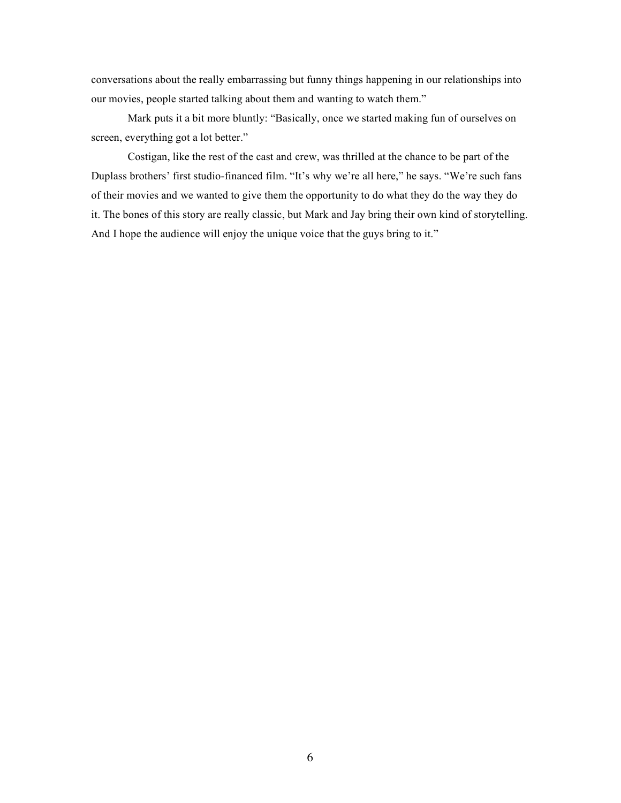conversations about the really embarrassing but funny things happening in our relationships into our movies, people started talking about them and wanting to watch them."

Mark puts it a bit more bluntly: "Basically, once we started making fun of ourselves on screen, everything got a lot better."

Costigan, like the rest of the cast and crew, was thrilled at the chance to be part of the Duplass brothers' first studio-financed film. "It's why we're all here," he says. "We're such fans of their movies and we wanted to give them the opportunity to do what they do the way they do it. The bones of this story are really classic, but Mark and Jay bring their own kind of storytelling. And I hope the audience will enjoy the unique voice that the guys bring to it."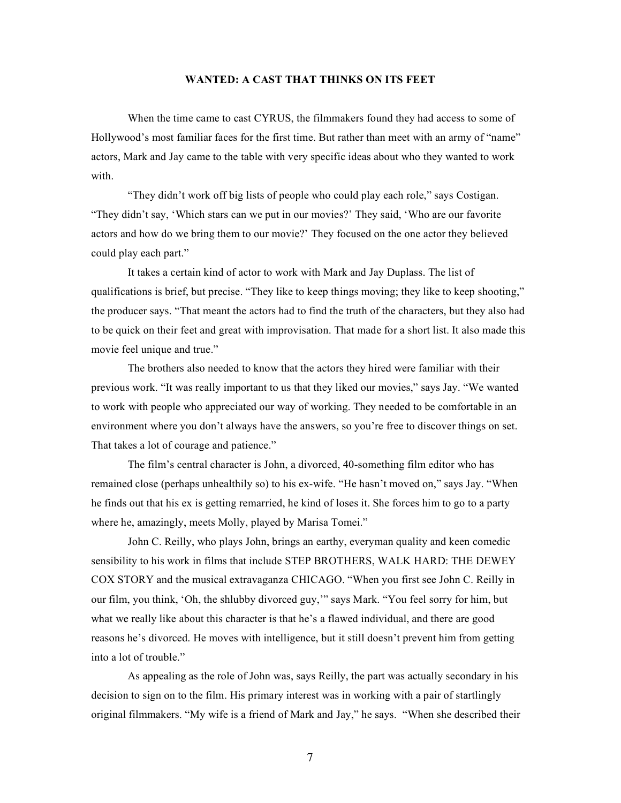# **WANTED: A CAST THAT THINKS ON ITS FEET**

When the time came to cast CYRUS, the filmmakers found they had access to some of Hollywood's most familiar faces for the first time. But rather than meet with an army of "name" actors, Mark and Jay came to the table with very specific ideas about who they wanted to work with.

"They didn't work off big lists of people who could play each role," says Costigan. "They didn't say, 'Which stars can we put in our movies?' They said, 'Who are our favorite actors and how do we bring them to our movie?' They focused on the one actor they believed could play each part."

It takes a certain kind of actor to work with Mark and Jay Duplass. The list of qualifications is brief, but precise. "They like to keep things moving; they like to keep shooting," the producer says. "That meant the actors had to find the truth of the characters, but they also had to be quick on their feet and great with improvisation. That made for a short list. It also made this movie feel unique and true."

The brothers also needed to know that the actors they hired were familiar with their previous work. "It was really important to us that they liked our movies," says Jay. "We wanted to work with people who appreciated our way of working. They needed to be comfortable in an environment where you don't always have the answers, so you're free to discover things on set. That takes a lot of courage and patience."

The film's central character is John, a divorced, 40-something film editor who has remained close (perhaps unhealthily so) to his ex-wife. "He hasn't moved on," says Jay. "When he finds out that his ex is getting remarried, he kind of loses it. She forces him to go to a party where he, amazingly, meets Molly, played by Marisa Tomei."

John C. Reilly, who plays John, brings an earthy, everyman quality and keen comedic sensibility to his work in films that include STEP BROTHERS, WALK HARD: THE DEWEY COX STORY and the musical extravaganza CHICAGO. "When you first see John C. Reilly in our film, you think, 'Oh, the shlubby divorced guy,'" says Mark. "You feel sorry for him, but what we really like about this character is that he's a flawed individual, and there are good reasons he's divorced. He moves with intelligence, but it still doesn't prevent him from getting into a lot of trouble."

As appealing as the role of John was, says Reilly, the part was actually secondary in his decision to sign on to the film. His primary interest was in working with a pair of startlingly original filmmakers. "My wife is a friend of Mark and Jay," he says. "When she described their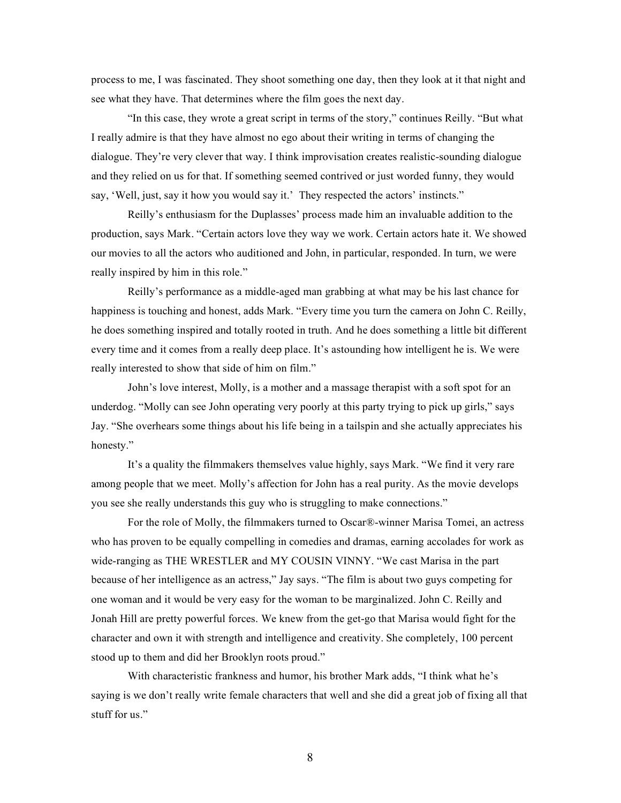process to me, I was fascinated. They shoot something one day, then they look at it that night and see what they have. That determines where the film goes the next day.

"In this case, they wrote a great script in terms of the story," continues Reilly. "But what I really admire is that they have almost no ego about their writing in terms of changing the dialogue. They're very clever that way. I think improvisation creates realistic-sounding dialogue and they relied on us for that. If something seemed contrived or just worded funny, they would say, 'Well, just, say it how you would say it.' They respected the actors' instincts."

Reilly's enthusiasm for the Duplasses' process made him an invaluable addition to the production, says Mark. "Certain actors love they way we work. Certain actors hate it. We showed our movies to all the actors who auditioned and John, in particular, responded. In turn, we were really inspired by him in this role."

Reilly's performance as a middle-aged man grabbing at what may be his last chance for happiness is touching and honest, adds Mark. "Every time you turn the camera on John C. Reilly, he does something inspired and totally rooted in truth. And he does something a little bit different every time and it comes from a really deep place. It's astounding how intelligent he is. We were really interested to show that side of him on film."

John's love interest, Molly, is a mother and a massage therapist with a soft spot for an underdog. "Molly can see John operating very poorly at this party trying to pick up girls," says Jay. "She overhears some things about his life being in a tailspin and she actually appreciates his honesty."

It's a quality the filmmakers themselves value highly, says Mark. "We find it very rare among people that we meet. Molly's affection for John has a real purity. As the movie develops you see she really understands this guy who is struggling to make connections."

For the role of Molly, the filmmakers turned to Oscar®-winner Marisa Tomei, an actress who has proven to be equally compelling in comedies and dramas, earning accolades for work as wide-ranging as THE WRESTLER and MY COUSIN VINNY. "We cast Marisa in the part because of her intelligence as an actress," Jay says. "The film is about two guys competing for one woman and it would be very easy for the woman to be marginalized. John C. Reilly and Jonah Hill are pretty powerful forces. We knew from the get-go that Marisa would fight for the character and own it with strength and intelligence and creativity. She completely, 100 percent stood up to them and did her Brooklyn roots proud."

With characteristic frankness and humor, his brother Mark adds, "I think what he's saying is we don't really write female characters that well and she did a great job of fixing all that stuff for us."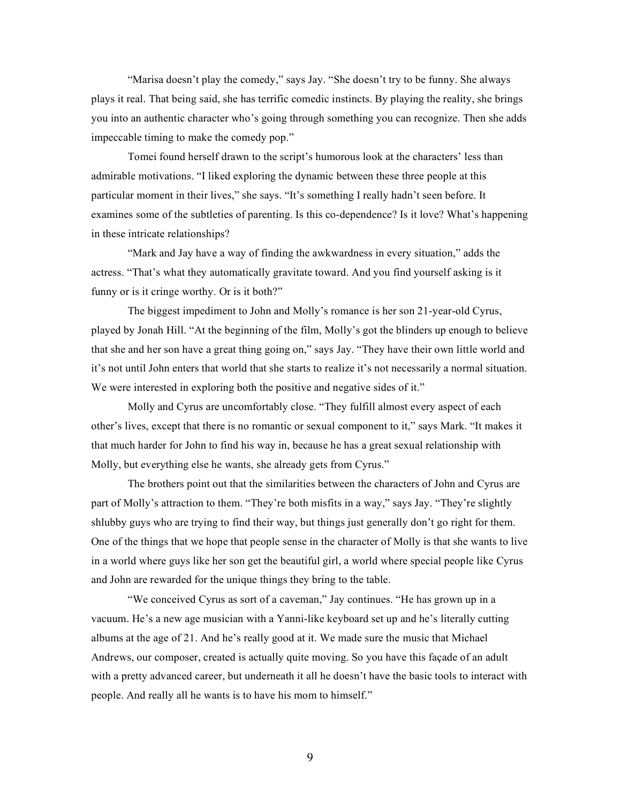"Marisa doesn't play the comedy," says Jay. "She doesn't try to be funny. She always plays it real. That being said, she has terrific comedic instincts. By playing the reality, she brings you into an authentic character who's going through something you can recognize. Then she adds impeccable timing to make the comedy pop."

Tomei found herself drawn to the script's humorous look at the characters' less than admirable motivations. "I liked exploring the dynamic between these three people at this particular moment in their lives," she says. "It's something I really hadn't seen before. It examines some of the subtleties of parenting. Is this co-dependence? Is it love? What's happening in these intricate relationships?

"Mark and Jay have a way of finding the awkwardness in every situation," adds the actress. "That's what they automatically gravitate toward. And you find yourself asking is it funny or is it cringe worthy. Or is it both?"

The biggest impediment to John and Molly's romance is her son 21-year-old Cyrus, played by Jonah Hill. "At the beginning of the film, Molly's got the blinders up enough to believe that she and her son have a great thing going on," says Jay. "They have their own little world and it's not until John enters that world that she starts to realize it's not necessarily a normal situation. We were interested in exploring both the positive and negative sides of it."

Molly and Cyrus are uncomfortably close. "They fulfill almost every aspect of each other's lives, except that there is no romantic or sexual component to it," says Mark. "It makes it that much harder for John to find his way in, because he has a great sexual relationship with Molly, but everything else he wants, she already gets from Cyrus."

The brothers point out that the similarities between the characters of John and Cyrus are part of Molly's attraction to them. "They're both misfits in a way," says Jay. "They're slightly shlubby guys who are trying to find their way, but things just generally don't go right for them. One of the things that we hope that people sense in the character of Molly is that she wants to live in a world where guys like her son get the beautiful girl, a world where special people like Cyrus and John are rewarded for the unique things they bring to the table.

"We conceived Cyrus as sort of a caveman," Jay continues. "He has grown up in a vacuum. He's a new age musician with a Yanni-like keyboard set up and he's literally cutting albums at the age of 21. And he's really good at it. We made sure the music that Michael Andrews, our composer, created is actually quite moving. So you have this façade of an adult with a pretty advanced career, but underneath it all he doesn't have the basic tools to interact with people. And really all he wants is to have his mom to himself."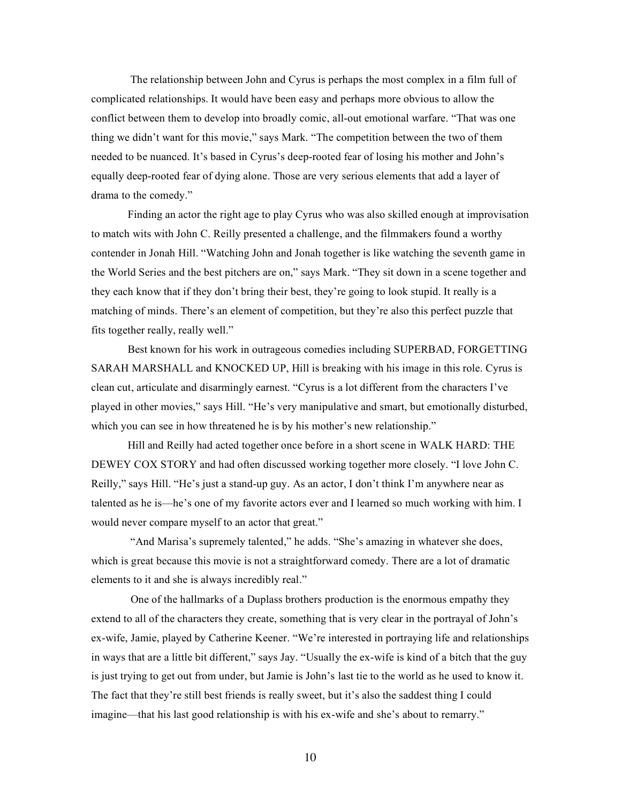The relationship between John and Cyrus is perhaps the most complex in a film full of complicated relationships. It would have been easy and perhaps more obvious to allow the conflict between them to develop into broadly comic, all-out emotional warfare. "That was one thing we didn't want for this movie," says Mark. "The competition between the two of them needed to be nuanced. It's based in Cyrus's deep-rooted fear of losing his mother and John's equally deep-rooted fear of dying alone. Those are very serious elements that add a layer of drama to the comedy."

Finding an actor the right age to play Cyrus who was also skilled enough at improvisation to match wits with John C. Reilly presented a challenge, and the filmmakers found a worthy contender in Jonah Hill. "Watching John and Jonah together is like watching the seventh game in the World Series and the best pitchers are on," says Mark. "They sit down in a scene together and they each know that if they don't bring their best, they're going to look stupid. It really is a matching of minds. There's an element of competition, but they're also this perfect puzzle that fits together really, really well."

Best known for his work in outrageous comedies including SUPERBAD, FORGETTING SARAH MARSHALL and KNOCKED UP, Hill is breaking with his image in this role. Cyrus is clean cut, articulate and disarmingly earnest. "Cyrus is a lot different from the characters I've played in other movies," says Hill. "He's very manipulative and smart, but emotionally disturbed, which you can see in how threatened he is by his mother's new relationship."

Hill and Reilly had acted together once before in a short scene in WALK HARD: THE DEWEY COX STORY and had often discussed working together more closely. "I love John C. Reilly," says Hill. "He's just a stand-up guy. As an actor, I don't think I'm anywhere near as talented as he is—he's one of my favorite actors ever and I learned so much working with him. I would never compare myself to an actor that great."

 "And Marisa's supremely talented," he adds. "She's amazing in whatever she does, which is great because this movie is not a straightforward comedy. There are a lot of dramatic elements to it and she is always incredibly real."

 One of the hallmarks of a Duplass brothers production is the enormous empathy they extend to all of the characters they create, something that is very clear in the portrayal of John's ex-wife, Jamie, played by Catherine Keener. "We're interested in portraying life and relationships in ways that are a little bit different," says Jay. "Usually the ex-wife is kind of a bitch that the guy is just trying to get out from under, but Jamie is John's last tie to the world as he used to know it. The fact that they're still best friends is really sweet, but it's also the saddest thing I could imagine—that his last good relationship is with his ex-wife and she's about to remarry."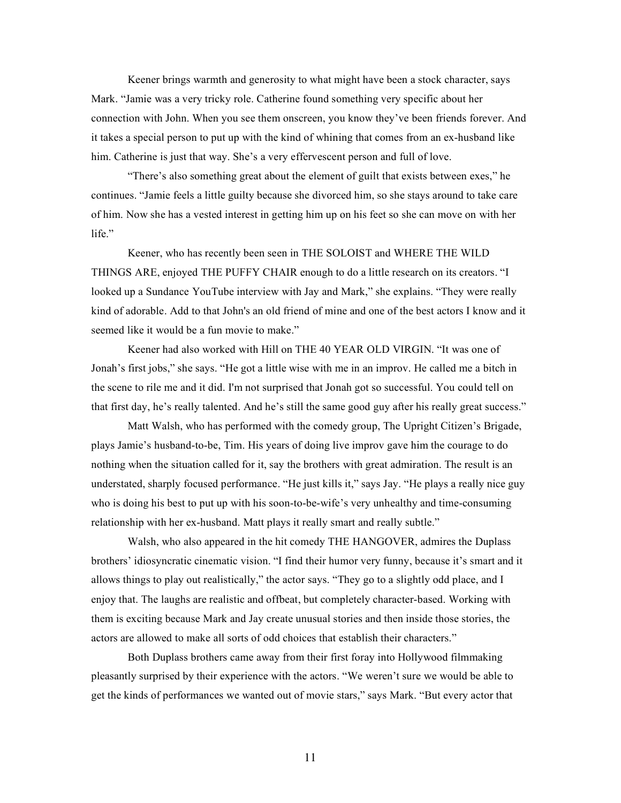Keener brings warmth and generosity to what might have been a stock character, says Mark. "Jamie was a very tricky role. Catherine found something very specific about her connection with John. When you see them onscreen, you know they've been friends forever. And it takes a special person to put up with the kind of whining that comes from an ex-husband like him. Catherine is just that way. She's a very effervescent person and full of love.

"There's also something great about the element of guilt that exists between exes," he continues. "Jamie feels a little guilty because she divorced him, so she stays around to take care of him. Now she has a vested interest in getting him up on his feet so she can move on with her life<sup>"</sup>

Keener, who has recently been seen in THE SOLOIST and WHERE THE WILD THINGS ARE, enjoyed THE PUFFY CHAIR enough to do a little research on its creators. "I looked up a Sundance YouTube interview with Jay and Mark," she explains. "They were really kind of adorable. Add to that John's an old friend of mine and one of the best actors I know and it seemed like it would be a fun movie to make."

Keener had also worked with Hill on THE 40 YEAR OLD VIRGIN. "It was one of Jonah's first jobs," she says. "He got a little wise with me in an improv. He called me a bitch in the scene to rile me and it did. I'm not surprised that Jonah got so successful. You could tell on that first day, he's really talented. And he's still the same good guy after his really great success."

Matt Walsh, who has performed with the comedy group, The Upright Citizen's Brigade, plays Jamie's husband-to-be, Tim. His years of doing live improv gave him the courage to do nothing when the situation called for it, say the brothers with great admiration. The result is an understated, sharply focused performance. "He just kills it," says Jay. "He plays a really nice guy who is doing his best to put up with his soon-to-be-wife's very unhealthy and time-consuming relationship with her ex-husband. Matt plays it really smart and really subtle."

Walsh, who also appeared in the hit comedy THE HANGOVER, admires the Duplass brothers' idiosyncratic cinematic vision. "I find their humor very funny, because it's smart and it allows things to play out realistically," the actor says. "They go to a slightly odd place, and I enjoy that. The laughs are realistic and offbeat, but completely character-based. Working with them is exciting because Mark and Jay create unusual stories and then inside those stories, the actors are allowed to make all sorts of odd choices that establish their characters."

Both Duplass brothers came away from their first foray into Hollywood filmmaking pleasantly surprised by their experience with the actors. "We weren't sure we would be able to get the kinds of performances we wanted out of movie stars," says Mark. "But every actor that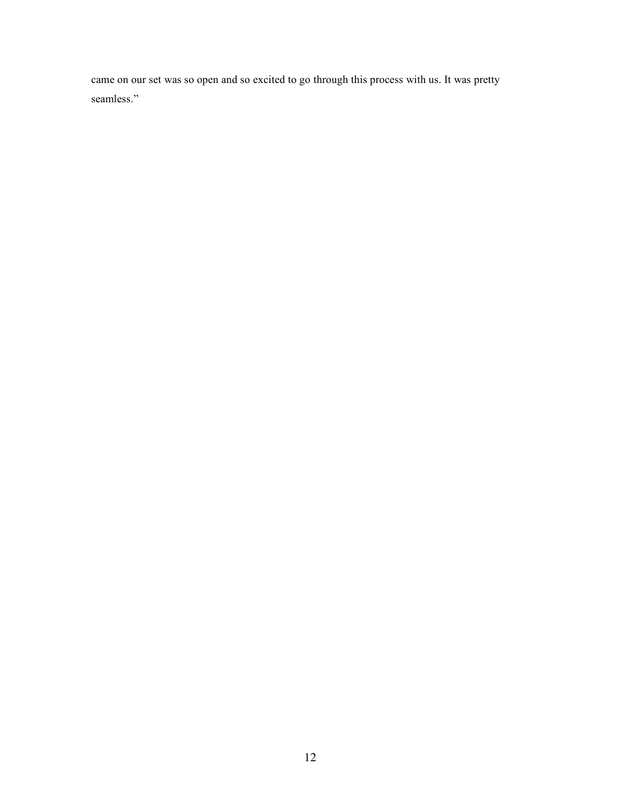came on our set was so open and so excited to go through this process with us. It was pretty seamless."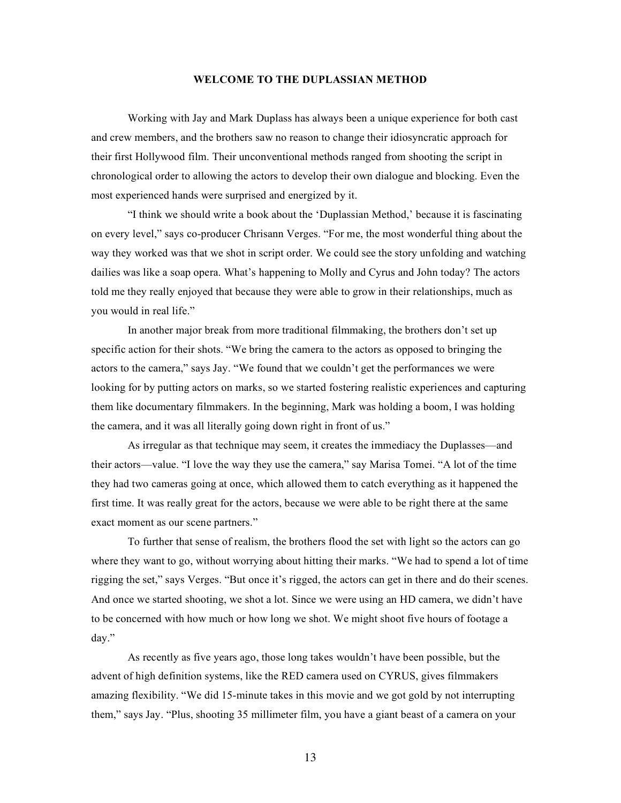## **WELCOME TO THE DUPLASSIAN METHOD**

Working with Jay and Mark Duplass has always been a unique experience for both cast and crew members, and the brothers saw no reason to change their idiosyncratic approach for their first Hollywood film. Their unconventional methods ranged from shooting the script in chronological order to allowing the actors to develop their own dialogue and blocking. Even the most experienced hands were surprised and energized by it.

"I think we should write a book about the 'Duplassian Method,' because it is fascinating on every level," says co-producer Chrisann Verges. "For me, the most wonderful thing about the way they worked was that we shot in script order. We could see the story unfolding and watching dailies was like a soap opera. What's happening to Molly and Cyrus and John today? The actors told me they really enjoyed that because they were able to grow in their relationships, much as you would in real life."

In another major break from more traditional filmmaking, the brothers don't set up specific action for their shots. "We bring the camera to the actors as opposed to bringing the actors to the camera," says Jay. "We found that we couldn't get the performances we were looking for by putting actors on marks, so we started fostering realistic experiences and capturing them like documentary filmmakers. In the beginning, Mark was holding a boom, I was holding the camera, and it was all literally going down right in front of us."

As irregular as that technique may seem, it creates the immediacy the Duplasses—and their actors—value. "I love the way they use the camera," say Marisa Tomei. "A lot of the time they had two cameras going at once, which allowed them to catch everything as it happened the first time. It was really great for the actors, because we were able to be right there at the same exact moment as our scene partners."

To further that sense of realism, the brothers flood the set with light so the actors can go where they want to go, without worrying about hitting their marks. "We had to spend a lot of time rigging the set," says Verges. "But once it's rigged, the actors can get in there and do their scenes. And once we started shooting, we shot a lot. Since we were using an HD camera, we didn't have to be concerned with how much or how long we shot. We might shoot five hours of footage a day."

As recently as five years ago, those long takes wouldn't have been possible, but the advent of high definition systems, like the RED camera used on CYRUS, gives filmmakers amazing flexibility. "We did 15-minute takes in this movie and we got gold by not interrupting them," says Jay. "Plus, shooting 35 millimeter film, you have a giant beast of a camera on your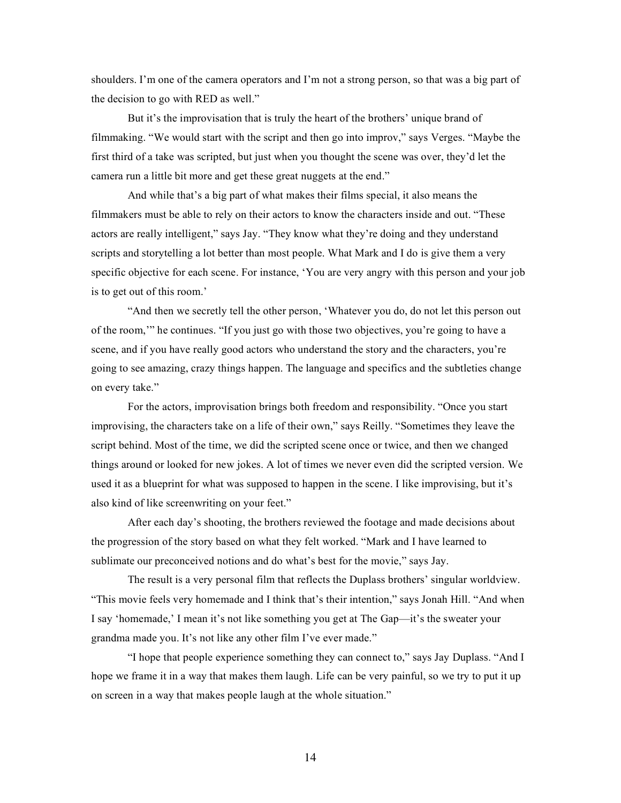shoulders. I'm one of the camera operators and I'm not a strong person, so that was a big part of the decision to go with RED as well."

But it's the improvisation that is truly the heart of the brothers' unique brand of filmmaking. "We would start with the script and then go into improv," says Verges. "Maybe the first third of a take was scripted, but just when you thought the scene was over, they'd let the camera run a little bit more and get these great nuggets at the end."

And while that's a big part of what makes their films special, it also means the filmmakers must be able to rely on their actors to know the characters inside and out. "These actors are really intelligent," says Jay. "They know what they're doing and they understand scripts and storytelling a lot better than most people. What Mark and I do is give them a very specific objective for each scene. For instance, 'You are very angry with this person and your job is to get out of this room.'

"And then we secretly tell the other person, 'Whatever you do, do not let this person out of the room,'" he continues. "If you just go with those two objectives, you're going to have a scene, and if you have really good actors who understand the story and the characters, you're going to see amazing, crazy things happen. The language and specifics and the subtleties change on every take."

For the actors, improvisation brings both freedom and responsibility. "Once you start improvising, the characters take on a life of their own," says Reilly. "Sometimes they leave the script behind. Most of the time, we did the scripted scene once or twice, and then we changed things around or looked for new jokes. A lot of times we never even did the scripted version. We used it as a blueprint for what was supposed to happen in the scene. I like improvising, but it's also kind of like screenwriting on your feet."

After each day's shooting, the brothers reviewed the footage and made decisions about the progression of the story based on what they felt worked. "Mark and I have learned to sublimate our preconceived notions and do what's best for the movie," says Jay.

The result is a very personal film that reflects the Duplass brothers' singular worldview. "This movie feels very homemade and I think that's their intention," says Jonah Hill. "And when I say 'homemade,' I mean it's not like something you get at The Gap—it's the sweater your grandma made you. It's not like any other film I've ever made."

"I hope that people experience something they can connect to," says Jay Duplass. "And I hope we frame it in a way that makes them laugh. Life can be very painful, so we try to put it up on screen in a way that makes people laugh at the whole situation."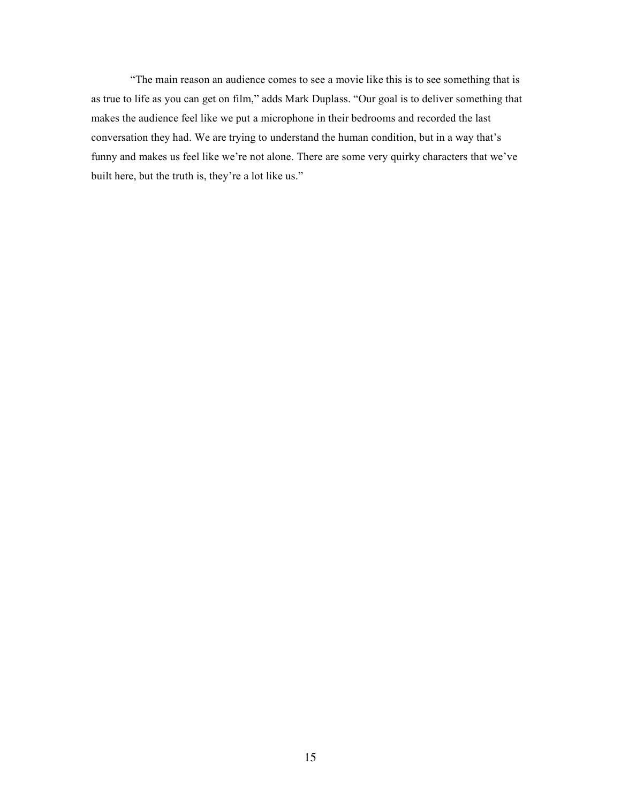"The main reason an audience comes to see a movie like this is to see something that is as true to life as you can get on film," adds Mark Duplass. "Our goal is to deliver something that makes the audience feel like we put a microphone in their bedrooms and recorded the last conversation they had. We are trying to understand the human condition, but in a way that's funny and makes us feel like we're not alone. There are some very quirky characters that we've built here, but the truth is, they're a lot like us."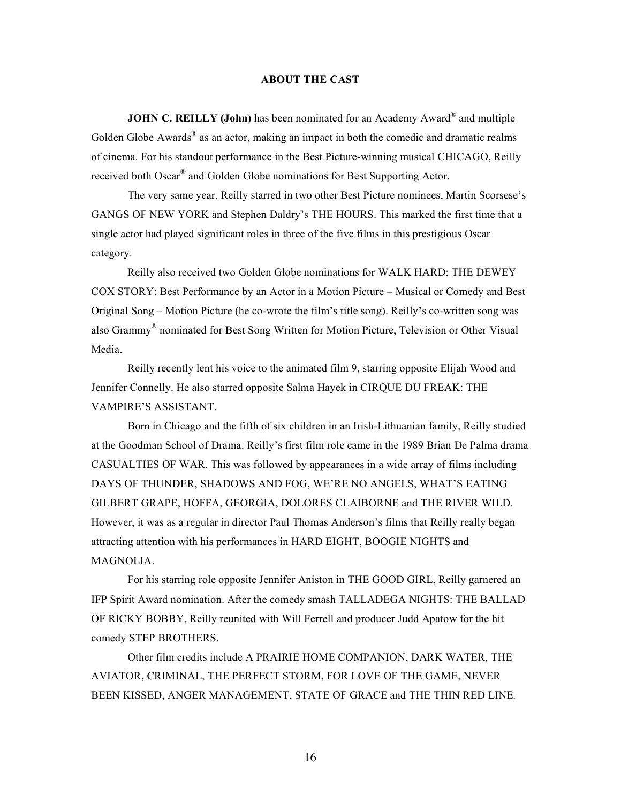# **ABOUT THE CAST**

**JOHN C. REILLY (John)** has been nominated for an Academy Award<sup>®</sup> and multiple Golden Globe Awards<sup>®</sup> as an actor, making an impact in both the comedic and dramatic realms of cinema. For his standout performance in the Best Picture-winning musical CHICAGO, Reilly received both Oscar® and Golden Globe nominations for Best Supporting Actor.

The very same year, Reilly starred in two other Best Picture nominees, Martin Scorsese's GANGS OF NEW YORK and Stephen Daldry's THE HOURS. This marked the first time that a single actor had played significant roles in three of the five films in this prestigious Oscar category.

Reilly also received two Golden Globe nominations for WALK HARD: THE DEWEY COX STORY: Best Performance by an Actor in a Motion Picture – Musical or Comedy and Best Original Song – Motion Picture (he co-wrote the film's title song). Reilly's co-written song was also Grammy® nominated for Best Song Written for Motion Picture, Television or Other Visual Media.

Reilly recently lent his voice to the animated film 9, starring opposite Elijah Wood and Jennifer Connelly. He also starred opposite Salma Hayek in CIRQUE DU FREAK: THE VAMPIRE'S ASSISTANT.

Born in Chicago and the fifth of six children in an Irish-Lithuanian family, Reilly studied at the Goodman School of Drama. Reilly's first film role came in the 1989 Brian De Palma drama CASUALTIES OF WAR. This was followed by appearances in a wide array of films including DAYS OF THUNDER, SHADOWS AND FOG, WE'RE NO ANGELS, WHAT'S EATING GILBERT GRAPE, HOFFA, GEORGIA, DOLORES CLAIBORNE and THE RIVER WILD. However, it was as a regular in director Paul Thomas Anderson's films that Reilly really began attracting attention with his performances in HARD EIGHT, BOOGIE NIGHTS and MAGNOLIA.

For his starring role opposite Jennifer Aniston in THE GOOD GIRL, Reilly garnered an IFP Spirit Award nomination. After the comedy smash TALLADEGA NIGHTS: THE BALLAD OF RICKY BOBBY, Reilly reunited with Will Ferrell and producer Judd Apatow for the hit comedy STEP BROTHERS.

Other film credits include A PRAIRIE HOME COMPANION, DARK WATER, THE AVIATOR, CRIMINAL, THE PERFECT STORM, FOR LOVE OF THE GAME, NEVER BEEN KISSED, ANGER MANAGEMENT, STATE OF GRACE and THE THIN RED LINE*.*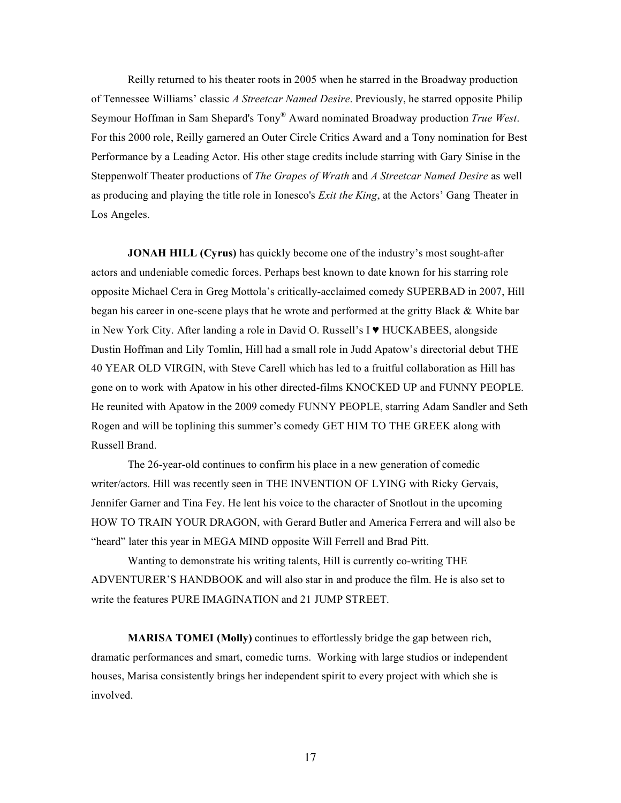Reilly returned to his theater roots in 2005 when he starred in the Broadway production of Tennessee Williams' classic *A Streetcar Named Desire*. Previously, he starred opposite Philip Seymour Hoffman in Sam Shepard's Tony® Award nominated Broadway production *True West*. For this 2000 role, Reilly garnered an Outer Circle Critics Award and a Tony nomination for Best Performance by a Leading Actor. His other stage credits include starring with Gary Sinise in the Steppenwolf Theater productions of *The Grapes of Wrath* and *A Streetcar Named Desire* as well as producing and playing the title role in Ionesco's *Exit the King*, at the Actors' Gang Theater in Los Angeles.

**JONAH HILL (Cyrus)** has quickly become one of the industry's most sought-after actors and undeniable comedic forces. Perhaps best known to date known for his starring role opposite Michael Cera in Greg Mottola's critically-acclaimed comedy SUPERBAD in 2007, Hill began his career in one-scene plays that he wrote and performed at the gritty Black & White bar in New York City. After landing a role in David O. Russell's I ♥ HUCKABEES, alongside Dustin Hoffman and Lily Tomlin, Hill had a small role in Judd Apatow's directorial debut THE 40 YEAR OLD VIRGIN, with Steve Carell which has led to a fruitful collaboration as Hill has gone on to work with Apatow in his other directed-films KNOCKED UP and FUNNY PEOPLE. He reunited with Apatow in the 2009 comedy FUNNY PEOPLE, starring Adam Sandler and Seth Rogen and will be toplining this summer's comedy GET HIM TO THE GREEK along with Russell Brand.

The 26-year-old continues to confirm his place in a new generation of comedic writer/actors. Hill was recently seen in THE INVENTION OF LYING with Ricky Gervais, Jennifer Garner and Tina Fey. He lent his voice to the character of Snotlout in the upcoming HOW TO TRAIN YOUR DRAGON, with Gerard Butler and America Ferrera and will also be "heard" later this year in MEGA MIND opposite Will Ferrell and Brad Pitt.

Wanting to demonstrate his writing talents, Hill is currently co-writing THE ADVENTURER'S HANDBOOK and will also star in and produce the film. He is also set to write the features PURE IMAGINATION and 21 JUMP STREET.

**MARISA TOMEI (Molly)** continues to effortlessly bridge the gap between rich, dramatic performances and smart, comedic turns. Working with large studios or independent houses, Marisa consistently brings her independent spirit to every project with which she is involved.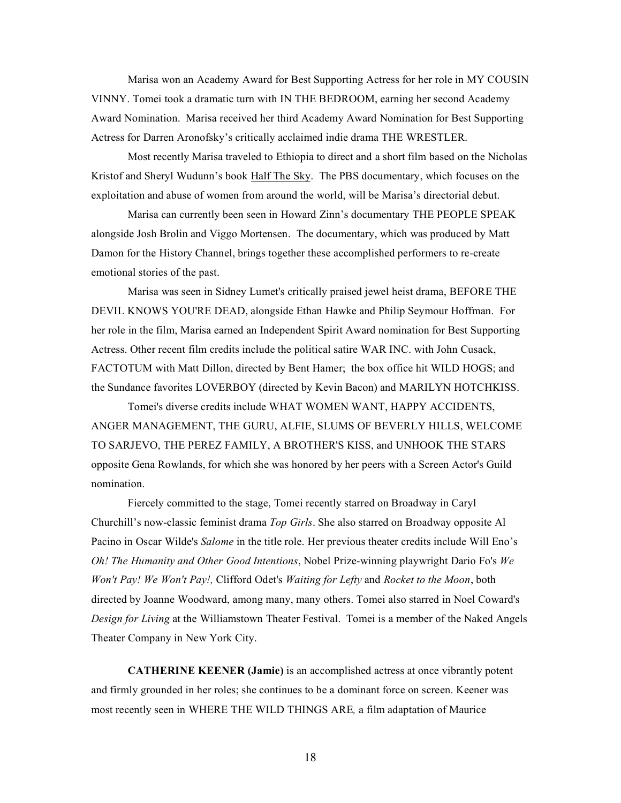Marisa won an Academy Award for Best Supporting Actress for her role in MY COUSIN VINNY. Tomei took a dramatic turn with IN THE BEDROOM, earning her second Academy Award Nomination. Marisa received her third Academy Award Nomination for Best Supporting Actress for Darren Aronofsky's critically acclaimed indie drama THE WRESTLER.

Most recently Marisa traveled to Ethiopia to direct and a short film based on the Nicholas Kristof and Sheryl Wudunn's book Half The Sky. The PBS documentary, which focuses on the exploitation and abuse of women from around the world, will be Marisa's directorial debut.

Marisa can currently been seen in Howard Zinn's documentary THE PEOPLE SPEAK alongside Josh Brolin and Viggo Mortensen. The documentary, which was produced by Matt Damon for the History Channel, brings together these accomplished performers to re-create emotional stories of the past.

Marisa was seen in Sidney Lumet's critically praised jewel heist drama, BEFORE THE DEVIL KNOWS YOU'RE DEAD, alongside Ethan Hawke and Philip Seymour Hoffman. For her role in the film, Marisa earned an Independent Spirit Award nomination for Best Supporting Actress. Other recent film credits include the political satire WAR INC. with John Cusack, FACTOTUM with Matt Dillon, directed by Bent Hamer; the box office hit WILD HOGS; and the Sundance favorites LOVERBOY (directed by Kevin Bacon) and MARILYN HOTCHKISS.

Tomei's diverse credits include WHAT WOMEN WANT, HAPPY ACCIDENTS, ANGER MANAGEMENT, THE GURU, ALFIE, SLUMS OF BEVERLY HILLS, WELCOME TO SARJEVO, THE PEREZ FAMILY, A BROTHER'S KISS, and UNHOOK THE STARS opposite Gena Rowlands, for which she was honored by her peers with a Screen Actor's Guild nomination.

Fiercely committed to the stage, Tomei recently starred on Broadway in Caryl Churchill's now-classic feminist drama *Top Girls*. She also starred on Broadway opposite Al Pacino in Oscar Wilde's *Salome* in the title role. Her previous theater credits include Will Eno's *Oh! The Humanity and Other Good Intentions*, Nobel Prize-winning playwright Dario Fo's *We Won't Pay! We Won't Pay!,* Clifford Odet's *Waiting for Lefty* and *Rocket to the Moon*, both directed by Joanne Woodward, among many, many others. Tomei also starred in Noel Coward's *Design for Living* at the Williamstown Theater Festival. Tomei is a member of the Naked Angels Theater Company in New York City.

**CATHERINE KEENER (Jamie)** is an accomplished actress at once vibrantly potent and firmly grounded in her roles; she continues to be a dominant force on screen. Keener was most recently seen in WHERE THE WILD THINGS ARE*,* a film adaptation of Maurice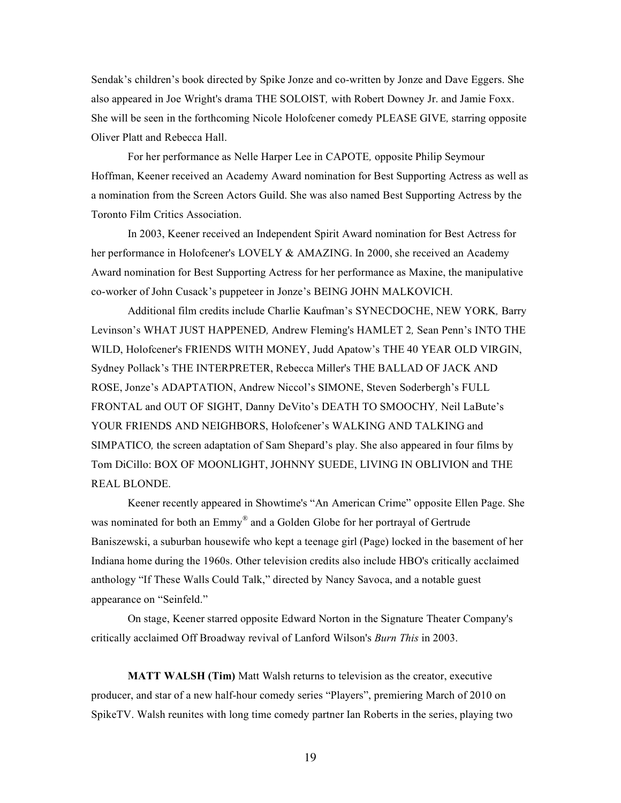Sendak's children's book directed by Spike Jonze and co-written by Jonze and Dave Eggers. She also appeared in Joe Wright's drama THE SOLOIST*,* with Robert Downey Jr. and Jamie Foxx. She will be seen in the forthcoming Nicole Holofcener comedy PLEASE GIVE*,* starring opposite Oliver Platt and Rebecca Hall.

For her performance as Nelle Harper Lee in CAPOTE*,* opposite Philip Seymour Hoffman, Keener received an Academy Award nomination for Best Supporting Actress as well as a nomination from the Screen Actors Guild. She was also named Best Supporting Actress by the Toronto Film Critics Association.

In 2003, Keener received an Independent Spirit Award nomination for Best Actress for her performance in Holofcener's LOVELY & AMAZING. In 2000, she received an Academy Award nomination for Best Supporting Actress for her performance as Maxine, the manipulative co-worker of John Cusack's puppeteer in Jonze's BEING JOHN MALKOVICH.

Additional film credits include Charlie Kaufman's SYNECDOCHE, NEW YORK*,* Barry Levinson's WHAT JUST HAPPENED*,* Andrew Fleming's HAMLET 2*,* Sean Penn's INTO THE WILD, Holofcener's FRIENDS WITH MONEY, Judd Apatow's THE 40 YEAR OLD VIRGIN, Sydney Pollack's THE INTERPRETER, Rebecca Miller's THE BALLAD OF JACK AND ROSE, Jonze's ADAPTATION, Andrew Niccol's SIMONE, Steven Soderbergh's FULL FRONTAL and OUT OF SIGHT, Danny DeVito's DEATH TO SMOOCHY*,* Neil LaBute's YOUR FRIENDS AND NEIGHBORS, Holofcener's WALKING AND TALKING and SIMPATICO*,* the screen adaptation of Sam Shepard's play. She also appeared in four films by Tom DiCillo: BOX OF MOONLIGHT, JOHNNY SUEDE, LIVING IN OBLIVION and THE REAL BLONDE.

Keener recently appeared in Showtime's "An American Crime" opposite Ellen Page. She was nominated for both an Emmy<sup>®</sup> and a Golden Globe for her portrayal of Gertrude Baniszewski, a suburban housewife who kept a teenage girl (Page) locked in the basement of her Indiana home during the 1960s. Other television credits also include HBO's critically acclaimed anthology "If These Walls Could Talk," directed by Nancy Savoca, and a notable guest appearance on "Seinfeld."

On stage, Keener starred opposite Edward Norton in the Signature Theater Company's critically acclaimed Off Broadway revival of Lanford Wilson's *Burn This* in 2003.

**MATT WALSH (Tim)** Matt Walsh returns to television as the creator, executive producer, and star of a new half-hour comedy series "Players", premiering March of 2010 on SpikeTV. Walsh reunites with long time comedy partner Ian Roberts in the series, playing two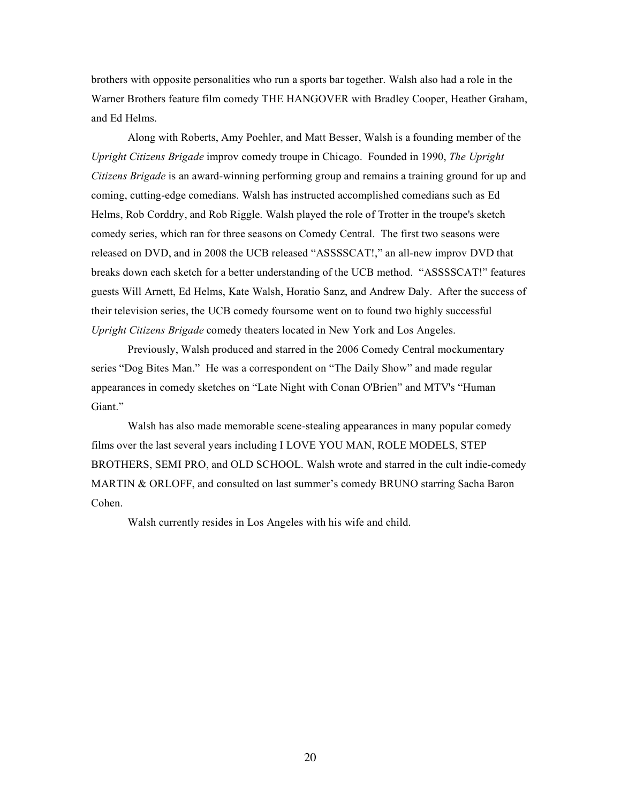brothers with opposite personalities who run a sports bar together. Walsh also had a role in the Warner Brothers feature film comedy THE HANGOVER with Bradley Cooper, Heather Graham, and Ed Helms.

Along with Roberts, Amy Poehler, and Matt Besser, Walsh is a founding member of the *Upright Citizens Brigade* improv comedy troupe in Chicago. Founded in 1990, *The Upright Citizens Brigade* is an award-winning performing group and remains a training ground for up and coming, cutting-edge comedians. Walsh has instructed accomplished comedians such as Ed Helms, Rob Corddry, and Rob Riggle. Walsh played the role of Trotter in the troupe's sketch comedy series, which ran for three seasons on Comedy Central. The first two seasons were released on DVD, and in 2008 the UCB released "ASSSSCAT!," an all-new improv DVD that breaks down each sketch for a better understanding of the UCB method. "ASSSSCAT!" features guests Will Arnett, Ed Helms, Kate Walsh, Horatio Sanz, and Andrew Daly. After the success of their television series, the UCB comedy foursome went on to found two highly successful *Upright Citizens Brigade* comedy theaters located in New York and Los Angeles.

Previously, Walsh produced and starred in the 2006 Comedy Central mockumentary series "Dog Bites Man." He was a correspondent on "The Daily Show" and made regular appearances in comedy sketches on "Late Night with Conan O'Brien" and MTV's "Human Giant."

Walsh has also made memorable scene-stealing appearances in many popular comedy films over the last several years including I LOVE YOU MAN, ROLE MODELS, STEP BROTHERS, SEMI PRO, and OLD SCHOOL. Walsh wrote and starred in the cult indie-comedy MARTIN & ORLOFF, and consulted on last summer's comedy BRUNO starring Sacha Baron Cohen.

Walsh currently resides in Los Angeles with his wife and child.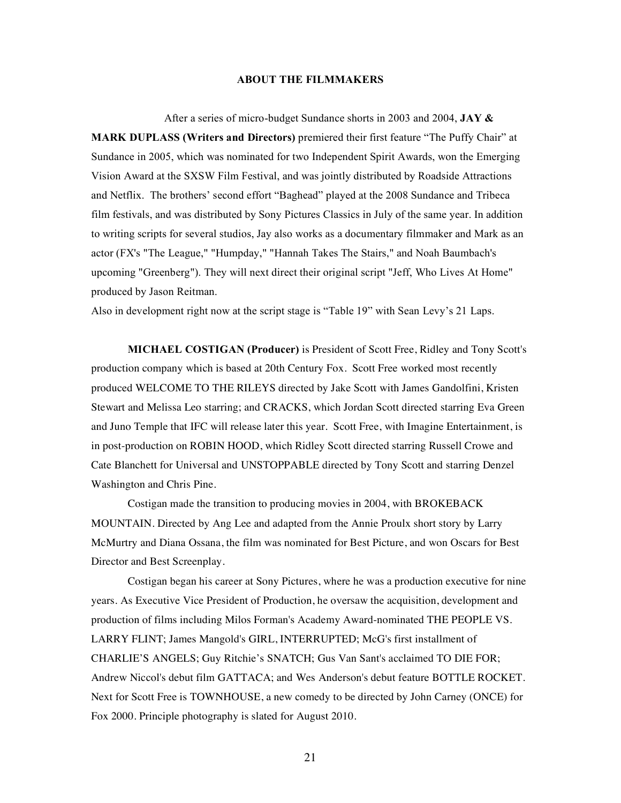### **ABOUT THE FILMMAKERS**

After a series of micro-budget Sundance shorts in 2003 and 2004, **JAY & MARK DUPLASS (Writers and Directors)** premiered their first feature "The Puffy Chair" at Sundance in 2005, which was nominated for two Independent Spirit Awards, won the Emerging Vision Award at the SXSW Film Festival, and was jointly distributed by Roadside Attractions and Netflix. The brothers' second effort "Baghead" played at the 2008 Sundance and Tribeca film festivals, and was distributed by Sony Pictures Classics in July of the same year. In addition to writing scripts for several studios, Jay also works as a documentary filmmaker and Mark as an actor (FX's "The League," "Humpday," "Hannah Takes The Stairs," and Noah Baumbach's upcoming "Greenberg"). They will next direct their original script "Jeff, Who Lives At Home" produced by Jason Reitman.

Also in development right now at the script stage is "Table 19" with Sean Levy's 21 Laps.

**MICHAEL COSTIGAN (Producer)** is President of Scott Free, Ridley and Tony Scott's production company which is based at 20th Century Fox. Scott Free worked most recently produced WELCOME TO THE RILEYS directed by Jake Scott with James Gandolfini, Kristen Stewart and Melissa Leo starring; and CRACKS, which Jordan Scott directed starring Eva Green and Juno Temple that IFC will release later this year. Scott Free, with Imagine Entertainment, is in post-production on ROBIN HOOD, which Ridley Scott directed starring Russell Crowe and Cate Blanchett for Universal and UNSTOPPABLE directed by Tony Scott and starring Denzel Washington and Chris Pine.

Costigan made the transition to producing movies in 2004, with BROKEBACK MOUNTAIN. Directed by Ang Lee and adapted from the Annie Proulx short story by Larry McMurtry and Diana Ossana, the film was nominated for Best Picture, and won Oscars for Best Director and Best Screenplay.

Costigan began his career at Sony Pictures, where he was a production executive for nine years. As Executive Vice President of Production, he oversaw the acquisition, development and production of films including Milos Forman's Academy Award-nominated THE PEOPLE VS. LARRY FLINT; James Mangold's GIRL, INTERRUPTED; McG's first installment of CHARLIE'S ANGELS; Guy Ritchie's SNATCH; Gus Van Sant's acclaimed TO DIE FOR; Andrew Niccol's debut film GATTACA; and Wes Anderson's debut feature BOTTLE ROCKET. Next for Scott Free is TOWNHOUSE, a new comedy to be directed by John Carney (ONCE) for Fox 2000. Principle photography is slated for August 2010.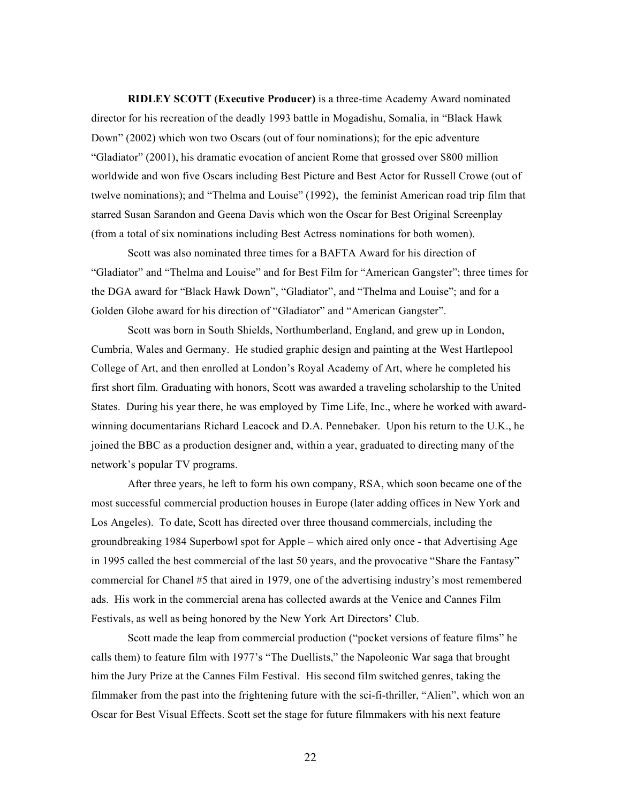**RIDLEY SCOTT (Executive Producer)** is a three-time Academy Award nominated director for his recreation of the deadly 1993 battle in Mogadishu, Somalia, in "Black Hawk Down" (2002) which won two Oscars (out of four nominations); for the epic adventure "Gladiator" (2001), his dramatic evocation of ancient Rome that grossed over \$800 million worldwide and won five Oscars including Best Picture and Best Actor for Russell Crowe (out of twelve nominations); and "Thelma and Louise" (1992), the feminist American road trip film that starred Susan Sarandon and Geena Davis which won the Oscar for Best Original Screenplay (from a total of six nominations including Best Actress nominations for both women).

Scott was also nominated three times for a BAFTA Award for his direction of "Gladiator" and "Thelma and Louise" and for Best Film for "American Gangster"; three times for the DGA award for "Black Hawk Down", "Gladiator", and "Thelma and Louise"; and for a Golden Globe award for his direction of "Gladiator" and "American Gangster".

Scott was born in South Shields, Northumberland, England, and grew up in London, Cumbria, Wales and Germany. He studied graphic design and painting at the West Hartlepool College of Art, and then enrolled at London's Royal Academy of Art, where he completed his first short film. Graduating with honors, Scott was awarded a traveling scholarship to the United States. During his year there, he was employed by Time Life, Inc., where he worked with awardwinning documentarians Richard Leacock and D.A. Pennebaker. Upon his return to the U.K., he joined the BBC as a production designer and, within a year, graduated to directing many of the network's popular TV programs.

After three years, he left to form his own company, RSA, which soon became one of the most successful commercial production houses in Europe (later adding offices in New York and Los Angeles). To date, Scott has directed over three thousand commercials, including the groundbreaking 1984 Superbowl spot for Apple – which aired only once - that Advertising Age in 1995 called the best commercial of the last 50 years, and the provocative "Share the Fantasy" commercial for Chanel #5 that aired in 1979, one of the advertising industry's most remembered ads. His work in the commercial arena has collected awards at the Venice and Cannes Film Festivals, as well as being honored by the New York Art Directors' Club.

Scott made the leap from commercial production ("pocket versions of feature films" he calls them) to feature film with 1977's "The Duellists," the Napoleonic War saga that brought him the Jury Prize at the Cannes Film Festival. His second film switched genres, taking the filmmaker from the past into the frightening future with the sci-fi-thriller, "Alien", which won an Oscar for Best Visual Effects. Scott set the stage for future filmmakers with his next feature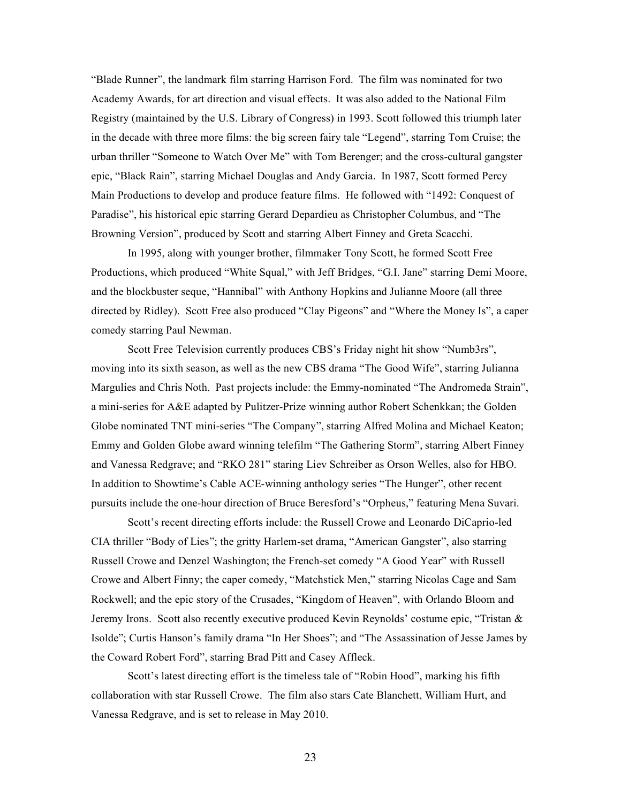"Blade Runner", the landmark film starring Harrison Ford. The film was nominated for two Academy Awards, for art direction and visual effects. It was also added to the National Film Registry (maintained by the U.S. Library of Congress) in 1993. Scott followed this triumph later in the decade with three more films: the big screen fairy tale "Legend", starring Tom Cruise; the urban thriller "Someone to Watch Over Me" with Tom Berenger; and the cross-cultural gangster epic, "Black Rain", starring Michael Douglas and Andy Garcia. In 1987, Scott formed Percy Main Productions to develop and produce feature films. He followed with "1492: Conquest of Paradise", his historical epic starring Gerard Depardieu as Christopher Columbus, and "The Browning Version", produced by Scott and starring Albert Finney and Greta Scacchi.

In 1995, along with younger brother, filmmaker Tony Scott, he formed Scott Free Productions, which produced "White Squal," with Jeff Bridges, "G.I. Jane" starring Demi Moore, and the blockbuster seque, "Hannibal" with Anthony Hopkins and Julianne Moore (all three directed by Ridley). Scott Free also produced "Clay Pigeons" and "Where the Money Is", a caper comedy starring Paul Newman.

Scott Free Television currently produces CBS's Friday night hit show "Numb3rs", moving into its sixth season, as well as the new CBS drama "The Good Wife", starring Julianna Margulies and Chris Noth. Past projects include: the Emmy-nominated "The Andromeda Strain", a mini-series for A&E adapted by Pulitzer-Prize winning author Robert Schenkkan; the Golden Globe nominated TNT mini-series "The Company", starring Alfred Molina and Michael Keaton; Emmy and Golden Globe award winning telefilm "The Gathering Storm", starring Albert Finney and Vanessa Redgrave; and "RKO 281" staring Liev Schreiber as Orson Welles, also for HBO. In addition to Showtime's Cable ACE-winning anthology series "The Hunger", other recent pursuits include the one-hour direction of Bruce Beresford's "Orpheus," featuring Mena Suvari.

Scott's recent directing efforts include: the Russell Crowe and Leonardo DiCaprio-led CIA thriller "Body of Lies"; the gritty Harlem-set drama, "American Gangster", also starring Russell Crowe and Denzel Washington; the French-set comedy "A Good Year" with Russell Crowe and Albert Finny; the caper comedy, "Matchstick Men," starring Nicolas Cage and Sam Rockwell; and the epic story of the Crusades, "Kingdom of Heaven", with Orlando Bloom and Jeremy Irons. Scott also recently executive produced Kevin Reynolds' costume epic, "Tristan & Isolde"; Curtis Hanson's family drama "In Her Shoes"; and "The Assassination of Jesse James by the Coward Robert Ford", starring Brad Pitt and Casey Affleck.

Scott's latest directing effort is the timeless tale of "Robin Hood", marking his fifth collaboration with star Russell Crowe. The film also stars Cate Blanchett, William Hurt, and Vanessa Redgrave, and is set to release in May 2010.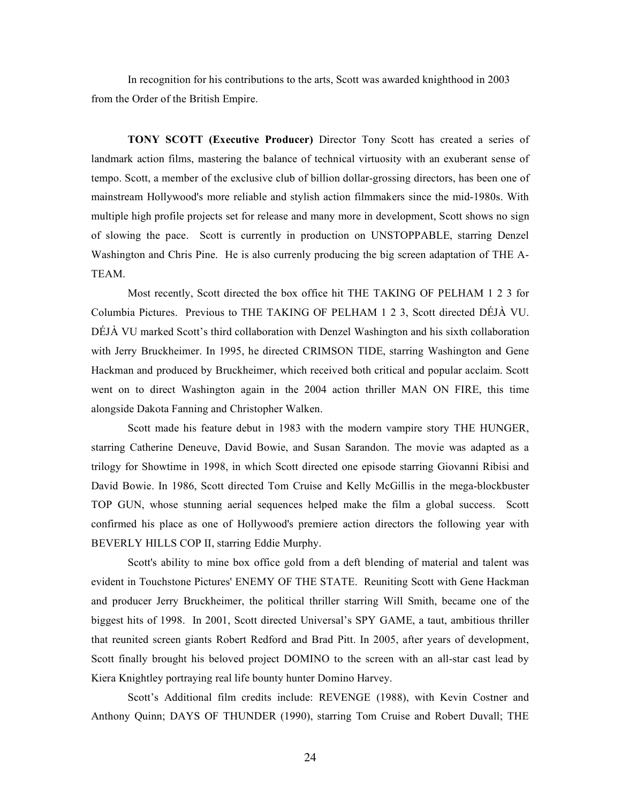In recognition for his contributions to the arts, Scott was awarded knighthood in 2003 from the Order of the British Empire.

**TONY SCOTT (Executive Producer)** Director Tony Scott has created a series of landmark action films, mastering the balance of technical virtuosity with an exuberant sense of tempo. Scott, a member of the exclusive club of billion dollar-grossing directors, has been one of mainstream Hollywood's more reliable and stylish action filmmakers since the mid-1980s. With multiple high profile projects set for release and many more in development, Scott shows no sign of slowing the pace. Scott is currently in production on UNSTOPPABLE, starring Denzel Washington and Chris Pine. He is also currenly producing the big screen adaptation of THE A-TEAM.

Most recently, Scott directed the box office hit THE TAKING OF PELHAM 1 2 3 for Columbia Pictures. Previous to THE TAKING OF PELHAM 1 2 3, Scott directed DÉJÀ VU. DÉJÀ VU marked Scott's third collaboration with Denzel Washington and his sixth collaboration with Jerry Bruckheimer. In 1995, he directed CRIMSON TIDE, starring Washington and Gene Hackman and produced by Bruckheimer, which received both critical and popular acclaim. Scott went on to direct Washington again in the 2004 action thriller MAN ON FIRE, this time alongside Dakota Fanning and Christopher Walken.

Scott made his feature debut in 1983 with the modern vampire story THE HUNGER, starring Catherine Deneuve, David Bowie, and Susan Sarandon. The movie was adapted as a trilogy for Showtime in 1998, in which Scott directed one episode starring Giovanni Ribisi and David Bowie. In 1986, Scott directed Tom Cruise and Kelly McGillis in the mega-blockbuster TOP GUN, whose stunning aerial sequences helped make the film a global success. Scott confirmed his place as one of Hollywood's premiere action directors the following year with BEVERLY HILLS COP II, starring Eddie Murphy.

Scott's ability to mine box office gold from a deft blending of material and talent was evident in Touchstone Pictures' ENEMY OF THE STATE. Reuniting Scott with Gene Hackman and producer Jerry Bruckheimer, the political thriller starring Will Smith, became one of the biggest hits of 1998. In 2001, Scott directed Universal's SPY GAME, a taut, ambitious thriller that reunited screen giants Robert Redford and Brad Pitt. In 2005, after years of development, Scott finally brought his beloved project DOMINO to the screen with an all-star cast lead by Kiera Knightley portraying real life bounty hunter Domino Harvey.

Scott's Additional film credits include: REVENGE (1988), with Kevin Costner and Anthony Quinn; DAYS OF THUNDER (1990), starring Tom Cruise and Robert Duvall; THE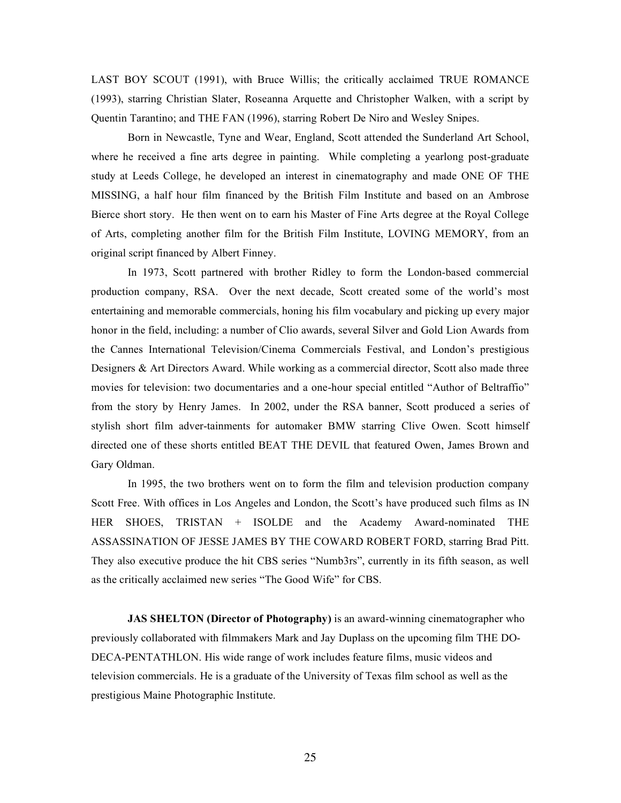LAST BOY SCOUT (1991), with Bruce Willis; the critically acclaimed TRUE ROMANCE (1993), starring Christian Slater, Roseanna Arquette and Christopher Walken, with a script by Quentin Tarantino; and THE FAN (1996), starring Robert De Niro and Wesley Snipes.

Born in Newcastle, Tyne and Wear, England, Scott attended the Sunderland Art School, where he received a fine arts degree in painting. While completing a yearlong post-graduate study at Leeds College, he developed an interest in cinematography and made ONE OF THE MISSING, a half hour film financed by the British Film Institute and based on an Ambrose Bierce short story. He then went on to earn his Master of Fine Arts degree at the Royal College of Arts, completing another film for the British Film Institute, LOVING MEMORY, from an original script financed by Albert Finney.

In 1973, Scott partnered with brother Ridley to form the London-based commercial production company, RSA. Over the next decade, Scott created some of the world's most entertaining and memorable commercials, honing his film vocabulary and picking up every major honor in the field, including: a number of Clio awards, several Silver and Gold Lion Awards from the Cannes International Television/Cinema Commercials Festival, and London's prestigious Designers & Art Directors Award. While working as a commercial director, Scott also made three movies for television: two documentaries and a one-hour special entitled "Author of Beltraffio" from the story by Henry James. In 2002, under the RSA banner, Scott produced a series of stylish short film adver-tainments for automaker BMW starring Clive Owen. Scott himself directed one of these shorts entitled BEAT THE DEVIL that featured Owen, James Brown and Gary Oldman.

In 1995, the two brothers went on to form the film and television production company Scott Free. With offices in Los Angeles and London, the Scott's have produced such films as IN HER SHOES, TRISTAN + ISOLDE and the Academy Award-nominated THE ASSASSINATION OF JESSE JAMES BY THE COWARD ROBERT FORD, starring Brad Pitt. They also executive produce the hit CBS series "Numb3rs", currently in its fifth season, as well as the critically acclaimed new series "The Good Wife" for CBS.

**JAS SHELTON (Director of Photography)** is an award-winning cinematographer who previously collaborated with filmmakers Mark and Jay Duplass on the upcoming film THE DO-DECA-PENTATHLON. His wide range of work includes feature films, music videos and television commercials. He is a graduate of the University of Texas film school as well as the prestigious Maine Photographic Institute.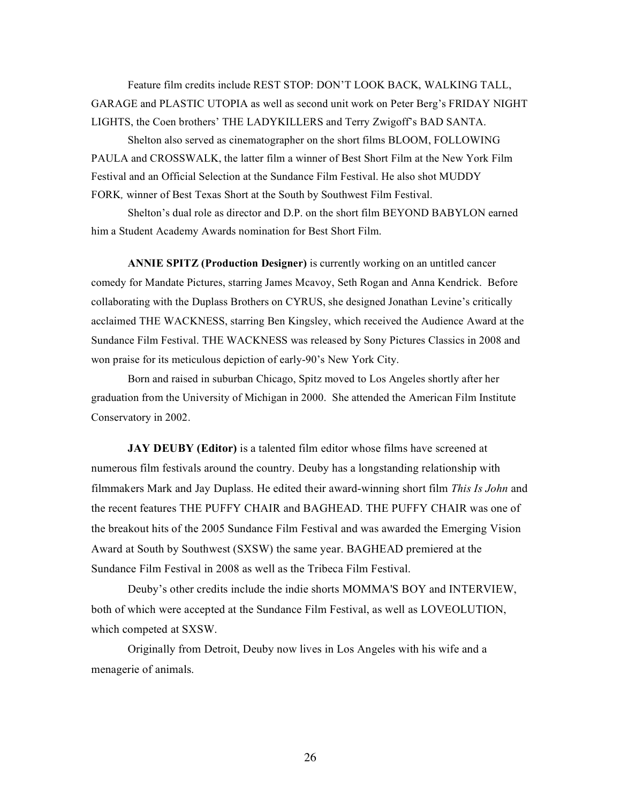Feature film credits include REST STOP: DON'T LOOK BACK, WALKING TALL, GARAGE and PLASTIC UTOPIA as well as second unit work on Peter Berg's FRIDAY NIGHT LIGHTS, the Coen brothers' THE LADYKILLERS and Terry Zwigoff's BAD SANTA.

Shelton also served as cinematographer on the short films BLOOM, FOLLOWING PAULA and CROSSWALK, the latter film a winner of Best Short Film at the New York Film Festival and an Official Selection at the Sundance Film Festival. He also shot MUDDY FORK*,* winner of Best Texas Short at the South by Southwest Film Festival.

Shelton's dual role as director and D.P. on the short film BEYOND BABYLON earned him a Student Academy Awards nomination for Best Short Film.

**ANNIE SPITZ (Production Designer)** is currently working on an untitled cancer comedy for Mandate Pictures, starring James Mcavoy, Seth Rogan and Anna Kendrick. Before collaborating with the Duplass Brothers on CYRUS, she designed Jonathan Levine's critically acclaimed THE WACKNESS, starring Ben Kingsley, which received the Audience Award at the Sundance Film Festival. THE WACKNESS was released by Sony Pictures Classics in 2008 and won praise for its meticulous depiction of early-90's New York City.

Born and raised in suburban Chicago, Spitz moved to Los Angeles shortly after her graduation from the University of Michigan in 2000. She attended the American Film Institute Conservatory in 2002.

**JAY DEUBY (Editor)** is a talented film editor whose films have screened at numerous film festivals around the country. Deuby has a longstanding relationship with filmmakers Mark and Jay Duplass. He edited their award-winning short film *This Is John* and the recent features THE PUFFY CHAIR and BAGHEAD. THE PUFFY CHAIR was one of the breakout hits of the 2005 Sundance Film Festival and was awarded the Emerging Vision Award at South by Southwest (SXSW) the same year. BAGHEAD premiered at the Sundance Film Festival in 2008 as well as the Tribeca Film Festival.

Deuby's other credits include the indie shorts MOMMA'S BOY and INTERVIEW, both of which were accepted at the Sundance Film Festival, as well as LOVEOLUTION, which competed at SXSW.

Originally from Detroit, Deuby now lives in Los Angeles with his wife and a menagerie of animals.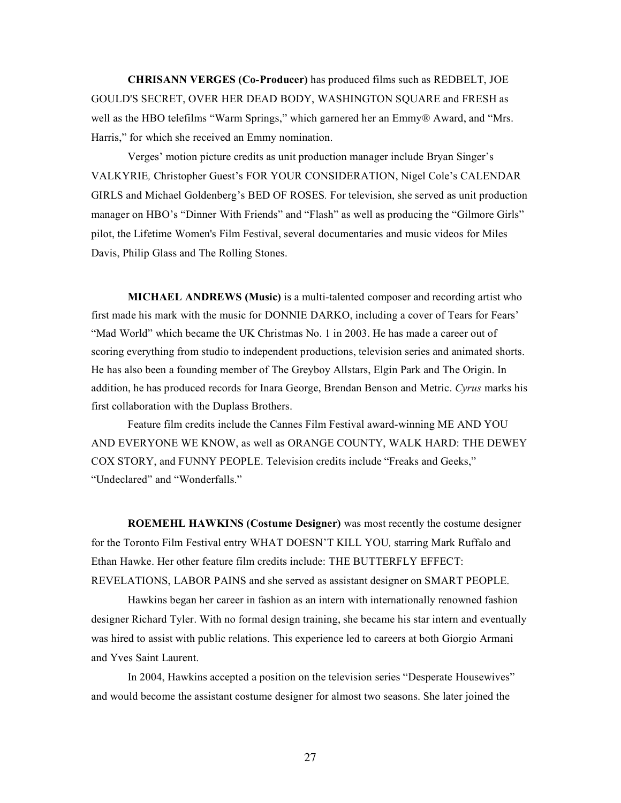**CHRISANN VERGES (Co-Producer)** has produced films such as REDBELT, JOE GOULD'S SECRET, OVER HER DEAD BODY, WASHINGTON SQUARE and FRESH as well as the HBO telefilms "Warm Springs," which garnered her an Emmy® Award, and "Mrs. Harris," for which she received an Emmy nomination.

Verges' motion picture credits as unit production manager include Bryan Singer's VALKYRIE*,* Christopher Guest's FOR YOUR CONSIDERATION, Nigel Cole's CALENDAR GIRLS and Michael Goldenberg's BED OF ROSES*.* For television, she served as unit production manager on HBO's "Dinner With Friends" and "Flash" as well as producing the "Gilmore Girls" pilot, the Lifetime Women's Film Festival, several documentaries and music videos for Miles Davis, Philip Glass and The Rolling Stones.

**MICHAEL ANDREWS (Music)** is a multi-talented composer and recording artist who first made his mark with the music for DONNIE DARKO, including a cover of Tears for Fears' "Mad World" which became the UK Christmas No. 1 in 2003. He has made a career out of scoring everything from studio to independent productions, television series and animated shorts. He has also been a founding member of The Greyboy Allstars, Elgin Park and The Origin. In addition, he has produced records for Inara George, Brendan Benson and Metric. *Cyrus* marks his first collaboration with the Duplass Brothers.

Feature film credits include the Cannes Film Festival award-winning ME AND YOU AND EVERYONE WE KNOW, as well as ORANGE COUNTY, WALK HARD: THE DEWEY COX STORY, and FUNNY PEOPLE. Television credits include "Freaks and Geeks," "Undeclared" and "Wonderfalls."

**ROEMEHL HAWKINS (Costume Designer)** was most recently the costume designer for the Toronto Film Festival entry WHAT DOESN'T KILL YOU*,* starring Mark Ruffalo and Ethan Hawke. Her other feature film credits include: THE BUTTERFLY EFFECT: REVELATIONS, LABOR PAINS and she served as assistant designer on SMART PEOPLE.

Hawkins began her career in fashion as an intern with internationally renowned fashion designer Richard Tyler. With no formal design training, she became his star intern and eventually was hired to assist with public relations. This experience led to careers at both Giorgio Armani and Yves Saint Laurent.

In 2004, Hawkins accepted a position on the television series "Desperate Housewives" and would become the assistant costume designer for almost two seasons. She later joined the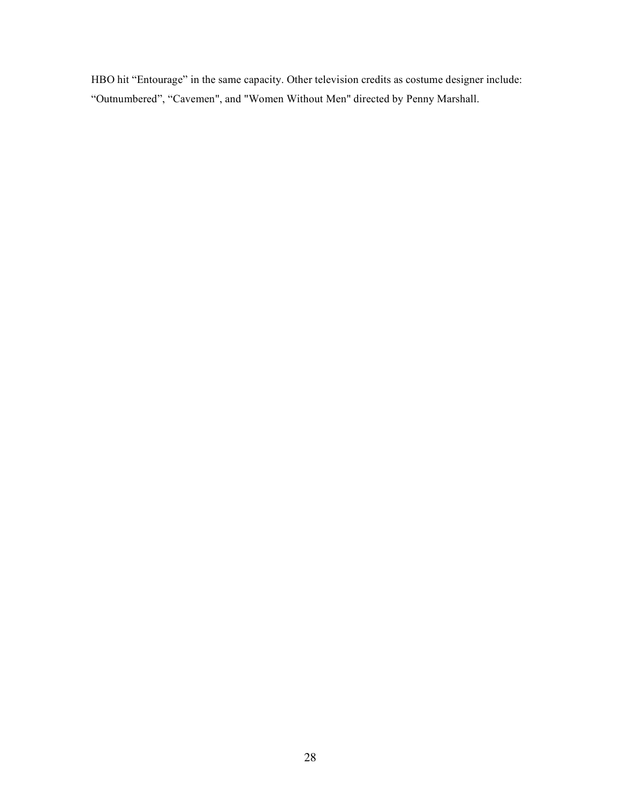HBO hit "Entourage" in the same capacity. Other television credits as costume designer include: "Outnumbered", "Cavemen", and "Women Without Men" directed by Penny Marshall.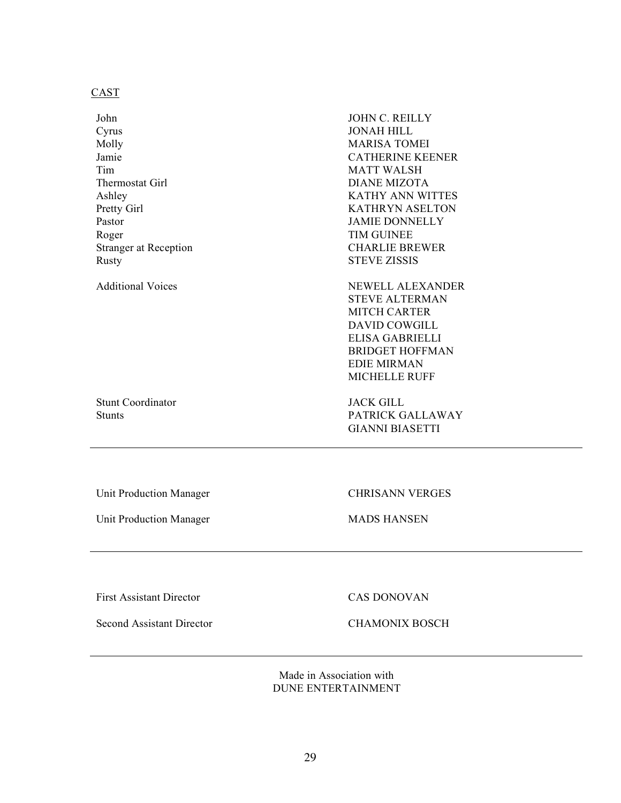# CAST

Additional Voices NEWELL ALEXANDER STEVE ALTERMAN MITCH CARTER DAVID COWGILL ELISA GABRIELLI BRIDGET HOFFMAN EDIE MIRMAN MICHELLE RUFF

Stunt Coordinator JACK GILL

Stunts PATRICK GALLAWAY GIANNI BIASETTI

Unit Production Manager CHRISANN VERGES

Unit Production Manager MADS HANSEN

First Assistant Director CAS DONOVAN

Second Assistant Director CHAMONIX BOSCH

Made in Association with DUNE ENTERTAINMENT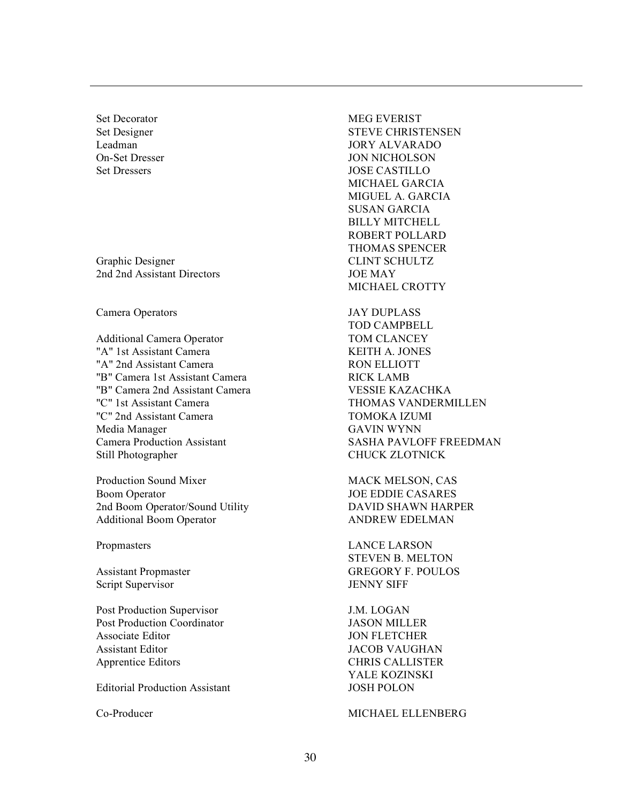Graphic Designer CLINT SCHULTZ 2nd 2nd Assistant Directors JOE MAY

Camera Operators JAY DUPLASS

Additional Camera Operator TOM CLANCEY "A" 1st Assistant Camera KEITH A. JONES "A" 2nd Assistant Camera RON ELLIOTT "B" Camera 1st Assistant Camera **RICK LAMB** "B" Camera 2nd Assistant Camera VESSIE KAZACHKA "C" 1st Assistant Camera THOMAS VANDERMILLEN "C" 2nd Assistant Camera TOMOKA IZUMI Media Manager GAVIN WYNN Camera Production Assistant SASHA PAVLOFF FREEDMAN Still Photographer CHUCK ZLOTNICK

Production Sound Mixer MACK MELSON, CAS Boom Operator **JOE EDDIE CASARES** 2nd Boom Operator/Sound Utility DAVID SHAWN HARPER Additional Boom Operator ANDREW EDELMAN

Script Supervisor JENNY SIFF

Post Production Supervisor J.M. LOGAN Post Production Coordinator JASON MILLER Associate Editor **JON FLETCHER** Assistant Editor JACOB VAUGHAN Apprentice Editors CHRIS CALLISTER

Editorial Production Assistant JOSH POLON

Set Decorator MEG EVERIST Set Designer STEVE CHRISTENSEN Leadman JORY ALVARADO On-Set Dresser JON NICHOLSON Set Dressers JOSE CASTILLO MICHAEL GARCIA MIGUEL A. GARCIA SUSAN GARCIA BILLY MITCHELL ROBERT POLLARD THOMAS SPENCER MICHAEL CROTTY

TOD CAMPBELL

Propmasters LANCE LARSON STEVEN B. MELTON Assistant Propmaster GREGORY F. POULOS

YALE KOZINSKI

Co-Producer MICHAEL ELLENBERG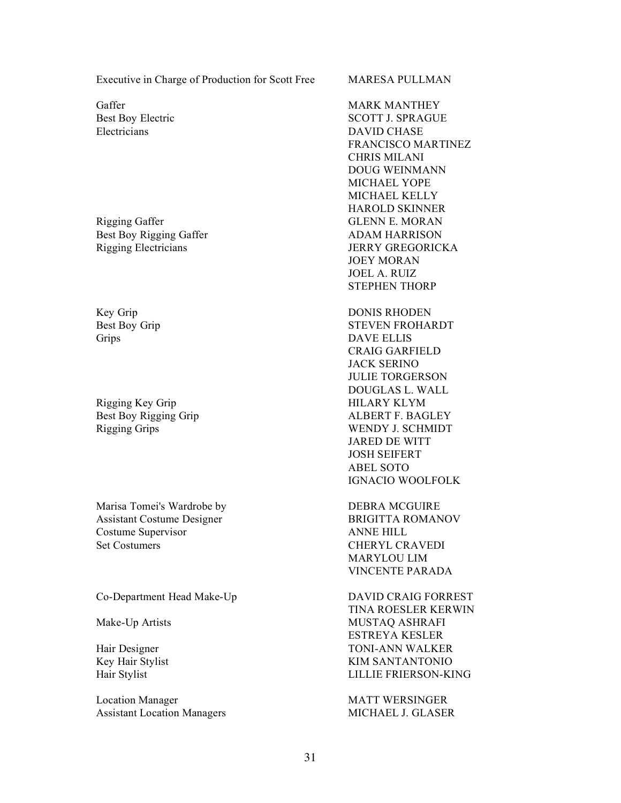Executive in Charge of Production for Scott Free MARESA PULLMAN

Electricians DAVID CHASE

Best Boy Rigging Gaffer ADAM HARRISON Rigging Electricians JERRY GREGORICKA

Rigging Key Grip HILARY KLYM

Marisa Tomei's Wardrobe by DEBRA MCGUIRE Assistant Costume Designer BRIGITTA ROMANOV Costume Supervisor ANNE HILL Set Costumers CHERYL CRAVEDI

Co-Department Head Make-Up DAVID CRAIG FORREST

Location Manager MATT WERSINGER Assistant Location Managers MICHAEL J. GLASER

Gaffer **MARK MANTHEY** Best Boy Electric SCOTT J. SPRAGUE FRANCISCO MARTINEZ CHRIS MILANI DOUG WEINMANN MICHAEL YOPE MICHAEL KELLY HAROLD SKINNER Rigging Gaffer GLENN E. MORAN JOEY MORAN JOEL A. RUIZ STEPHEN THORP

Key Grip DONIS RHODEN Best Boy Grip STEVEN FROHARDT Grips DAVE ELLIS CRAIG GARFIELD JACK SERINO JULIE TORGERSON DOUGLAS L. WALL Best Boy Rigging Grip ALBERT F. BAGLEY Rigging Grips WENDY J. SCHMIDT JARED DE WITT JOSH SEIFERT ABEL SOTO IGNACIO WOOLFOLK

> MARYLOU LIM VINCENTE PARADA

TINA ROESLER KERWIN Mustaq Ashkafi Mustaq Ashkafi Mustaq Ashkafi Mustaq Ashkafi Mustaq Ashkafi Mustaq Ashkafi Mustaq Ashkafi Mustaq Ashkafi Mustaq Ashkafi Mustaq Ashkafi Mustaq Ashkafi Mustaq Ashkafi Mustaq Ashkafi Mustaq Ashkafi Mustaq Ashka ESTREYA KESLER Hair Designer TONI-ANN WALKER Key Hair Stylist KIM SANTANTONIO Hair Stylist LILLIE FRIERSON-KING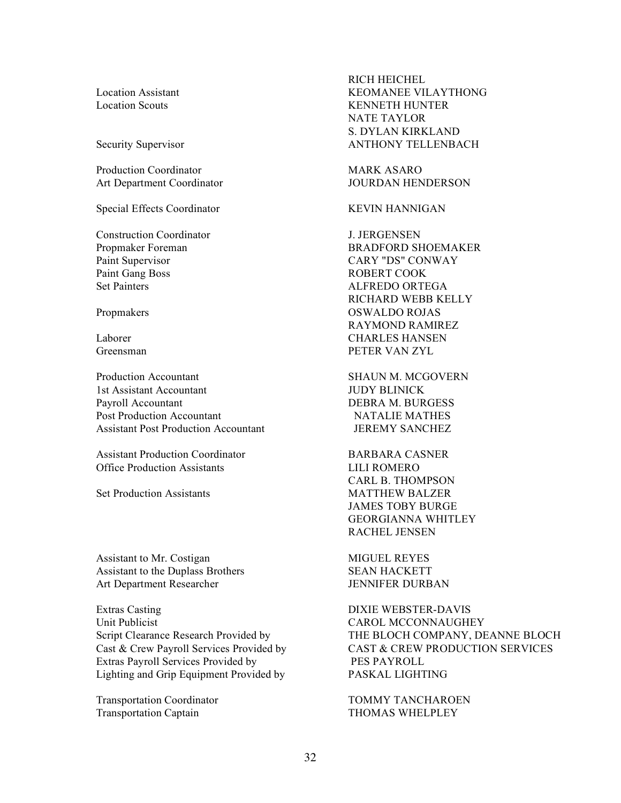Production Coordinator MARK ASARO Art Department Coordinator **JOURDAN HENDERSON** 

Special Effects Coordinator **KEVIN HANNIGAN** 

Construction Coordinator J. JERGENSEN Paint Supervisor CARY "DS" CONWAY Paint Gang Boss ROBERT COOK Set Painters ALFREDO ORTEGA

Production Accountant The SHAUN M. MCGOVERN 1st Assistant Accountant JUDY BLINICK Payroll Accountant DEBRA M. BURGESS Post Production Accountant NATALIE MATHES Assistant Post Production Accountant JEREMY SANCHEZ

Assistant Production Coordinator BARBARA CASNER Office Production Assistants LILI ROMERO

Set Production Assistants MATTHEW BALZER

Assistant to Mr. Costigan MIGUEL REYES Assistant to the Duplass Brothers SEAN HACKETT Art Department Researcher JENNIFER DURBAN

Extras Casting DIXIE WEBSTER-DAVIS Unit Publicist CAROL MCCONNAUGHEY Extras Payroll Services Provided by PES PAYROLL Lighting and Grip Equipment Provided by PASKAL LIGHTING

Transportation Captain THOMAS WHELPLEY

RICH HEICHEL Location Assistant KEOMANEE VILAYTHONG Location Scouts KENNETH HUNTER NATE TAYLOR S. DYLAN KIRKLAND Security Supervisor **ANTHONY TELLENBACH** 

Propmaker Foreman BRADFORD SHOEMAKER RICHARD WEBB KELLY Propmakers OSWALDO ROJAS RAYMOND RAMIREZ Laborer CHARLES HANSEN Greensman PETER VAN ZYL

CARL B. THOMPSON JAMES TOBY BURGE GEORGIANNA WHITLEY RACHEL JENSEN

Script Clearance Research Provided by THE BLOCH COMPANY, DEANNE BLOCH Cast & Crew Payroll Services Provided by CAST & CREW PRODUCTION SERVICES

Transportation Coordinator TOMMY TANCHAROEN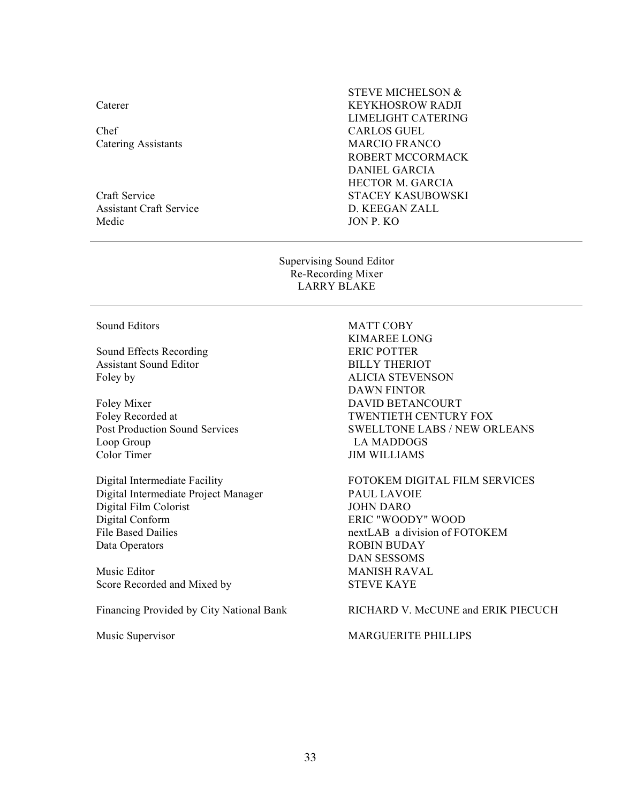Caterer

Chef CARLOS GUEL

Assistant Craft Service D. KEEGAN ZALL Medic JON P. KO

STEVE MICHELSON & KEYKHOSROW RADJI LIMELIGHT CATERING Catering Assistants MARCIO FRANCO ROBERT MCCORMACK DANIEL GARCIA HECTOR M. GARCIA Craft Service STACEY KASUBOWSKI

> Supervising Sound Editor Re-Recording Mixer LARRY BLAKE

Sound Effects Recording ERIC POTTER Assistant Sound Editor BILLY THERIOT Foley by ALICIA STEVENSON

Loop Group LA MADDOGS Color Timer JIM WILLIAMS

Digital Intermediate Project Manager PAUL LAVOIE Digital Film Colorist<br>
Digital Conform<br>
Digital Conform<br>
ERIC "WOOL File Based Dailies **nextLAB** a division of FOTOKEM Data Operators ROBIN BUDAY

Music Editor MANISH RAVAL Score Recorded and Mixed by STEVE KAYE

# Sound Editors MATT COBY

KIMAREE LONG DAWN FINTOR Foley Mixer DAVID BETANCOURT Foley Recorded at  $\qquad \qquad \text{TWENTIETH CENTURY FOX}$ Post Production Sound Services SWELLTONE LABS / NEW ORLEANS

Digital Intermediate Facility FOTOKEM DIGITAL FILM SERVICES ERIC "WOODY" WOOD DAN SESSOMS

Financing Provided by City National Bank RICHARD V. McCUNE and ERIK PIECUCH

Music Supervisor MARGUERITE PHILLIPS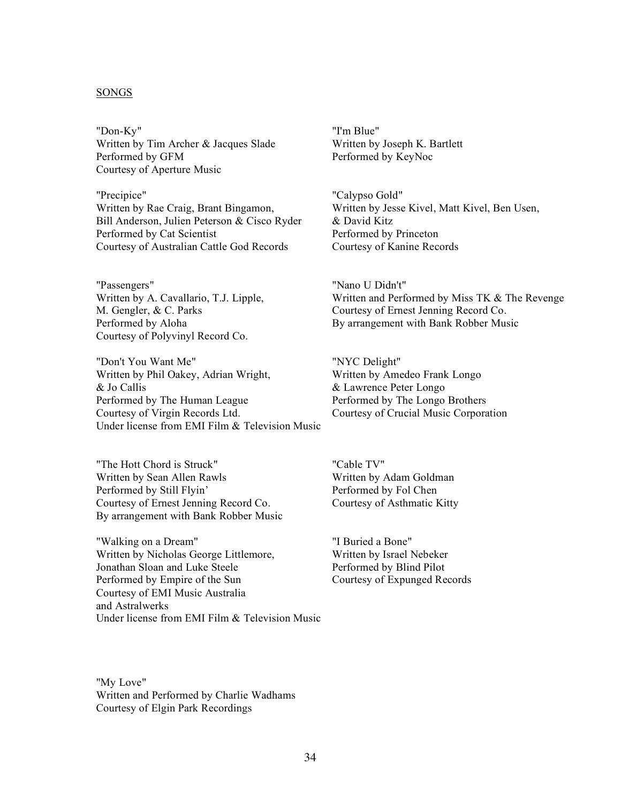# SONGS

"Don-Ky" Written by Tim Archer & Jacques Slade Performed by GFM Courtesy of Aperture Music

"Precipice" Written by Rae Craig, Brant Bingamon, Bill Anderson, Julien Peterson & Cisco Ryder Performed by Cat Scientist Courtesy of Australian Cattle God Records

"Passengers" Written by A. Cavallario, T.J. Lipple, M. Gengler, & C. Parks Performed by Aloha Courtesy of Polyvinyl Record Co.

"Don't You Want Me" Written by Phil Oakey, Adrian Wright, & Jo Callis Performed by The Human League Courtesy of Virgin Records Ltd. Under license from EMI Film & Television Music

"The Hott Chord is Struck" Written by Sean Allen Rawls Performed by Still Flyin' Courtesy of Ernest Jenning Record Co. By arrangement with Bank Robber Music

"Walking on a Dream" Written by Nicholas George Littlemore, Jonathan Sloan and Luke Steele Performed by Empire of the Sun Courtesy of EMI Music Australia and Astralwerks Under license from EMI Film & Television Music "I'm Blue" Written by Joseph K. Bartlett Performed by KeyNoc

"Calypso Gold" Written by Jesse Kivel, Matt Kivel, Ben Usen, & David Kitz Performed by Princeton Courtesy of Kanine Records

"Nano U Didn't" Written and Performed by Miss TK & The Revenge Courtesy of Ernest Jenning Record Co. By arrangement with Bank Robber Music

"NYC Delight" Written by Amedeo Frank Longo & Lawrence Peter Longo Performed by The Longo Brothers Courtesy of Crucial Music Corporation

"Cable TV" Written by Adam Goldman Performed by Fol Chen Courtesy of Asthmatic Kitty

"I Buried a Bone" Written by Israel Nebeker Performed by Blind Pilot Courtesy of Expunged Records

"My Love" Written and Performed by Charlie Wadhams Courtesy of Elgin Park Recordings